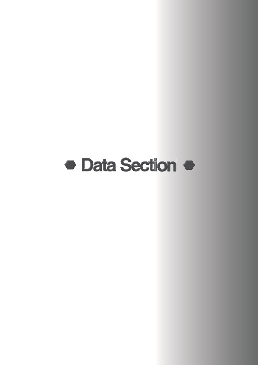# **• Data Section •**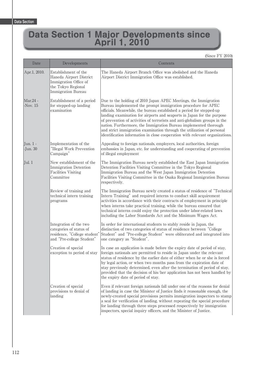# **Data Section 1 Major Developments since April 1, 2010**

(Since FY 2010)

| Date                   | Developments                                                                                                         | Contents                                                                                                                                                                                                                                                                                                                                                                                                                                                                                                                                                                                      |
|------------------------|----------------------------------------------------------------------------------------------------------------------|-----------------------------------------------------------------------------------------------------------------------------------------------------------------------------------------------------------------------------------------------------------------------------------------------------------------------------------------------------------------------------------------------------------------------------------------------------------------------------------------------------------------------------------------------------------------------------------------------|
| Apr.1, 2010.           | Establishment of the<br>Haneda Airport District<br>Immigration Office of<br>the Tokyo Regional<br>Immigration Bureau | The Haneda Airport Branch Office was abolished and the Haneda<br>Airport District Immigration Office was established.                                                                                                                                                                                                                                                                                                                                                                                                                                                                         |
| Mar.24 -<br>-Nov. $15$ | Establishment of a period<br>for stepped-up landing<br>examination                                                   | Due to the holding of 2010 Japan APEC Meetings, the Immigration<br>Bureau implemented the prompt immigration procedure for APEC<br>officials. Meanwhile, the bureau established a period for stepped-up<br>landing examination for airports and seaports in Japan for the purpose<br>of prevention of activities of terrorists and anti-globalism groups in the<br>nation. Furthermore, the Immigration Bureau implemented thorough<br>and strict immigration examination through the utilization of personal<br>identification information in close cooperation with relevant organizations. |
| Jun. 1 -<br>$-Jun.30$  | Implementation of the<br>"Illegal Work Prevention<br>Campaign"                                                       | Appealing to foreign nationals, employers, local authorities, foreign<br>embassies in Japan, etc. for understanding and cooperating of prevention<br>of illegal employment                                                                                                                                                                                                                                                                                                                                                                                                                    |
| Jul. 1                 | New establishment of the<br>Immigration Detention<br><b>Facilities Visiting</b><br>Committee                         | The Immigration Bureau newly established the East Japan Immigration<br>Detention Facilities Visiting Committee in the Tokyo Regional<br>Immigration Bureau and the West Japan Immigration Detention<br>Facilities Visiting Committee in the Osaka Regional Immigration Bureau<br>respectively.                                                                                                                                                                                                                                                                                                |
|                        | Review of training and<br>technical intern training<br>programs                                                      | The Immigration Bureau newly created a status of residence of "Technical<br>Intern Training" and required interns to conduct skill acquirement<br>activities in accordance with their contracts of employment in principle<br>when interns take practical training, while the bureau ensured that<br>technical interns could enjoy the protection under labor-related laws<br>including the Labor Standards Act and the Minimum Wages Act.                                                                                                                                                    |
|                        | Integration of the two<br>categories of status of<br>residence, "College student'<br>and "Pre-college Student"       | In order for international students to stably reside in Japan, the<br>distinction of two categories of status of residence between "College<br>Student" and "Pre-college Student" were obliterated and integrated into<br>one category as "Student".                                                                                                                                                                                                                                                                                                                                          |
|                        | Creation of special<br>exception to period of stay                                                                   | In case an application is made before the expiry date of period of stay,<br>foreign nationals are permitted to reside in Japan under the relevant<br>status of residence by the earlier date of either when he or she is forced<br>by legal action, or when two months pass from the expiration date of<br>stay previously determined, even after the termination of period of stay,<br>provided that the decision of his/her application has not been handled by<br>the expiry date of period of stay.                                                                                       |
|                        | Creation of special<br>provisions to denial of<br>landing                                                            | Even if relevant foreign nationals fall under one of the reasons for denial<br>of landing in case the Minister of Justice finds it reasonable enough, the<br>newly-created special provisions permits immigration inspectors to stamp<br>a seal for verification of landing, without repeating the special procedure<br>for landing through three steps processed respectively by immigration<br>inspectors, special inquiry officers, and the Minister of Justice.                                                                                                                           |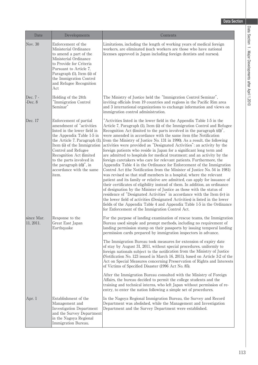| Date                    | Developments                                                                                                                                                                                                                                                                                                                    | Contents                                                                                                                                                                                                                                                                                                                                                                                                                                                                                                                                                                                                                                                                                                                                                                                                                                                                                                                                                                                                                                                                                                                                                                                                                                                                                                                                                                                                                                         |
|-------------------------|---------------------------------------------------------------------------------------------------------------------------------------------------------------------------------------------------------------------------------------------------------------------------------------------------------------------------------|--------------------------------------------------------------------------------------------------------------------------------------------------------------------------------------------------------------------------------------------------------------------------------------------------------------------------------------------------------------------------------------------------------------------------------------------------------------------------------------------------------------------------------------------------------------------------------------------------------------------------------------------------------------------------------------------------------------------------------------------------------------------------------------------------------------------------------------------------------------------------------------------------------------------------------------------------------------------------------------------------------------------------------------------------------------------------------------------------------------------------------------------------------------------------------------------------------------------------------------------------------------------------------------------------------------------------------------------------------------------------------------------------------------------------------------------------|
| Nov. 30                 | Enforcement of the<br>Ministerial Ordinance<br>to amend a part of the<br>Ministerial Ordinance<br>to Provide for Criteria<br>Pursuant to Article 7,<br>Paragraph (1), Item (ii) of<br>the Immigration Control<br>and Refugee Recognition<br>Act                                                                                 | Limitations, including the length of working years of medical foreign<br>workers, are eliminated (such workers are those who have national<br>licenses approved in Japan including foreign dentists and nurses).                                                                                                                                                                                                                                                                                                                                                                                                                                                                                                                                                                                                                                                                                                                                                                                                                                                                                                                                                                                                                                                                                                                                                                                                                                 |
| Dec. 7 -<br>-Dec. $8$   | Holding of the 24th<br>"Immigration Control<br>Seminar"                                                                                                                                                                                                                                                                         | The Ministry of Justice held the "Immigration Control Seminar",<br>inviting officials from 19 countries and regions in the Pacific Rim area<br>and 3 international organizations to exchange information and views on<br>immigration control administration.                                                                                                                                                                                                                                                                                                                                                                                                                                                                                                                                                                                                                                                                                                                                                                                                                                                                                                                                                                                                                                                                                                                                                                                     |
| Dec. 17                 | Enforcement of partial<br>amendment of "activities<br>listed in the lower field in<br>the Appendix Table 1-5 in<br>the Article 7, Paragraph (1),<br>Item (ii) of the Immigration<br>Control and Refugee<br>Recognition Act (limited<br>to the parts involved in<br>the paragraph (d))", in<br>accordance with the same<br>item. | "Activities listed in the lower field in the Appendix Table 1-5 in the<br>Article 7, Paragraph (1), Item (ii) of the Immigration Control and Refugee<br>Recognition Act (limited to the parts involved in the paragraph (d))",<br>were amended in accordance with the same item (the Notification<br>from the Ministry of Justice No. 131 in 1990). As a result, the following<br>activities were provided as "Designated Activities": an activity by the<br>foreign patients who reside in Japan for a significant long term and<br>are admitted to hospitals for medical treatment; and an activity by the<br>foreign caretakers who care for relevant patients. Furthermore, the<br>Appendix Table 4 in the Ordinance for Enforcement of the Immigration<br>Control Act (the Notification from the Minister of Justice No. 54 in 1981)<br>was revised so that staff members in a hospital, where the relevant<br>patient and its family or relative are admitted, can apply for issuance of<br>their certificates of eligibility instead of them. In addition, an ordinance<br>of designation by the Minister of Justice as those with the status of<br>residence of "Designated Activities" in accordance with the Item (iv) in<br>the lower field of activities (Designated Activities) is listed in the lower<br>fields of the Appendix Table 4 and Appendix Table 1-5 in the Ordinance<br>for Enforcement of the Immigration Control Act. |
| since Mar.<br>11, 2011. | Response to the<br>Great East Japan<br>Earthquake                                                                                                                                                                                                                                                                               | For the purpose of landing examination of rescue teams, the Immigration<br>Bureau used simple and prompt methods, including no requirement of<br>landing permission stamp on their passports by issuing temporal landing<br>permission cards prepared by immigration inspectors in advance.<br>The Immigration Bureau took measures for extension of expiry date<br>of stay by August 31, 2011, without special procedures, uniformly to<br>foreign nationals subject to the notification from the Ministry of Justice<br>(Notification No. 123 issued in March 16, 2011), based on Article 3-2 of the<br>Act on Special Measures concerning Preservation of Rights and Interests<br>of Victims of Specified Disaster (1996 Act No. 85).<br>After the Immigration Bureau consulted with the Ministry of Foreign<br>Affairs, the bureau decided to permit the college students and the<br>training and technical interns, who left Japan without permission of re-<br>entry, to enter the nation following a simple set of procedures.                                                                                                                                                                                                                                                                                                                                                                                                            |
| Apr. 1                  | Establishment of the<br>Management and<br><b>Investigation Department</b><br>and the Survey Department<br>in the Nagoya Regional<br>Immigration Bureau.                                                                                                                                                                         | In the Nagoya Regional Immigration Bureau, the Survey and Record<br>Department was abolished, while the Management and Investigation<br>Department and the Survey Department were established.                                                                                                                                                                                                                                                                                                                                                                                                                                                                                                                                                                                                                                                                                                                                                                                                                                                                                                                                                                                                                                                                                                                                                                                                                                                   |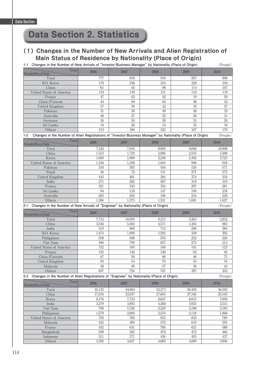## **Data Section 2. Statistics**

## **(1)Changes in the Number of New Arrivals and Alien Registration of Main Status of Residence by Nationality (Place of Origin)**

**1-1 Changes in the Number of New Arrivals of "Investor/Business Manager" by Nationality (Place of Origin)** (People)

| Year<br>Nationality(Place of Origin)                                                                                  | 2006         | 2007             | 2008         | 2009          | 2010         |
|-----------------------------------------------------------------------------------------------------------------------|--------------|------------------|--------------|---------------|--------------|
| Total                                                                                                                 | 777          | 918              | 919          | 857           | 896          |
| R.O. Korea                                                                                                            | 170          | 248              | 216          | 228           | 210          |
| China                                                                                                                 | 61           | 65               | 98           | 114           | 167          |
| United States of America                                                                                              | 134          | 139              | 121          | 110           | 118          |
| France                                                                                                                | 47           | 63               | 42           | 19            | 50           |
| China (Taiwan)                                                                                                        | 44           | 69               | 65           | 48            | 42           |
| United Kingdom                                                                                                        | 57           | 39               | 42           | 34            | 37           |
| Pakistan                                                                                                              | 31           | 36               | 49           | 48            | 33           |
| Australia                                                                                                             | 40           | 27               | 22           | 30            | 31           |
| Germany                                                                                                               | 26           | 26               | 28           | 24            | 20           |
| Sri Lanka                                                                                                             | 14           | 20               | 14           | 35            | 18           |
| Others                                                                                                                | 153          | 186              | 222          | 167           | 170          |
| Changes in the Number of Alien Registrations of "Investor/Business Manager" by Nationality (Place of Origin)<br>$1-2$ |              |                  |              |               | (People)     |
| Year<br>Nationality(Place of Origin)                                                                                  | 2006         | 2007             | 2008         | 2009          | 2010         |
| Total                                                                                                                 | 7,342        | 7,916            | 8,895        | 9,840         | 10,908       |
| China                                                                                                                 | 1,553        | 1,729            | 2,096        | 2,555         | 3,300        |
| Korea                                                                                                                 | 1,609        | 1,900            | 2,249        | 2,492         | 2,723        |
| United States of America                                                                                              | 1,160        | 1,108            | 1,044        | 990           | 918          |
| Pakistan                                                                                                              | 334          | 383              | 456          | 526           | 571          |
| Nepal                                                                                                                 | 46           | 72               | 151          | 271           | 373          |
|                                                                                                                       | 443          | 401              | 384          | 374           | 334          |
| United Kingdom                                                                                                        |              |                  |              |               |              |
| India                                                                                                                 | 271          | 282              | 307          | 319           | 319          |
| France                                                                                                                | 321          | 343              | 334          | 297           | 281          |
| Sri Lanka                                                                                                             | 94           | 119              | 147          | 199           | 234          |
| Australia                                                                                                             | 205          | 204              | 196          | 216           | 228          |
| Others                                                                                                                | 1,306        | 1,375            | 1,531        | 1,601         | 1,627        |
| 2-1 Changes in the Number of New Arrivals of "Engineer" by Nationality (Place of Origin)                              |              |                  |              |               | (People)     |
| Year<br>Nationality(Place of Origin)                                                                                  | 2006         | 2007             | 2008         | 2009          | 2010         |
|                                                                                                                       |              |                  |              |               |              |
| Total                                                                                                                 | 7,715        | 10,959           | 9,212        | 3,363         | 2,852        |
| China                                                                                                                 | 3,546        | 5,403            | 4,571        | 1,404         | 983          |
| India                                                                                                                 | 519          | 960              | 714          | 296           | 384          |
| R.O. Korea                                                                                                            | 1,474        | 1,999            | 1,292        | 439           | 302          |
| Philippines                                                                                                           | 558          | 598              | 576          | 252           | 226          |
| Viet Nam                                                                                                              | 396          | 799              | 837          | 273           | 213          |
| United States of America                                                                                              | 152          | 169              | 168          | 101           | 123          |
| France                                                                                                                | 155          | 146              | 140          | 62            | 95           |
| China (Taiwan)                                                                                                        | 67           | 56               | 86           | 46            | 75           |
|                                                                                                                       | 93           | 54               |              | 55            |              |
| United Kingdom                                                                                                        |              | 49               | $70\,$       |               | 54<br>45     |
| Malaysia<br>Others                                                                                                    | 58<br>697    | 726              | 57<br>701    | $38\,$<br>397 | 352          |
| 2-2 Changes in the Number of Alien Registrations of "Engineer" by Nationality (Place of Origin)                       |              |                  |              |               | (People)     |
| Year                                                                                                                  | 2006         | 2007             | 2008         | 2009          | 2010         |
| Nationality(Place of Origin)                                                                                          |              |                  |              |               |              |
| Total                                                                                                                 | 35,135       | 44,684           | 52,273       | 50,493        | 46,592       |
| China                                                                                                                 | 17,634       | 23,247           | 27,665       | 27,166        | 25,105       |
| Korea                                                                                                                 | 6,176        | 7,733            | 8,647        | 8,015         | 7,050        |
| India                                                                                                                 | 3,279        | 3,893            | 4,268        | 3,925         | 3,515        |
| Viet Nam                                                                                                              | 790          | 1,536            | 2,229        | 2,188         | 2,183        |
| Philippines                                                                                                           | 1,579        | 2,004            | 2,276        | 2,118         | 1,968        |
| United States of America                                                                                              | $705\,$      | 760              | 923          | 833           | 789          |
| Malaysia                                                                                                              | 425          | 489              | 570          | 610           | 595          |
| France                                                                                                                | 542          | 631              | 706          | 621           | 588          |
| Bangladesh                                                                                                            | 299          | 393              | 470          | 472           | 466          |
| Indonesia<br>Others                                                                                                   | 311<br>3,395 | $371\,$<br>3,627 | 436<br>4,083 | 455<br>4,090  | 437<br>3,896 |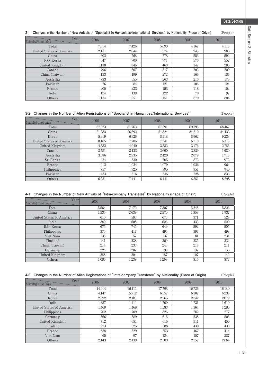# Data Section 2. Statistics **Data Section 2. Statistics**

| 3-1<br>Changes in the Number of New Arrivals of "Specialist in Humanities/International Services" by Nationality (Place of Origin) |       |       |       |       | (People) |
|------------------------------------------------------------------------------------------------------------------------------------|-------|-------|-------|-------|----------|
| Year<br>Nationality (Place of Origin)                                                                                              | 2006  | 2007  | 2008  | 2009  | 2010     |
| Total                                                                                                                              | 7.614 | 7,426 | 5,690 | 4,167 | 4,113    |
| United States of America                                                                                                           | 2,131 | 2,044 | 1,274 | 945   | 986      |
| China                                                                                                                              | 602   | 768   | 778   | 553   | 592      |
| R.O. Korea                                                                                                                         | 547   | 700   | 771   | 570   | 552      |
| United Kingdom                                                                                                                     | 1,138 | 846   | 463   | 347   | 286      |
| Canada                                                                                                                             | 796   | 607   | 317   | 203   | 209      |
| China (Taiwan)                                                                                                                     | 133   | 199   | 272   | 166   | 186      |
| Australia                                                                                                                          | 733   | 555   | 263   | 210   | 175      |
| Pakistan                                                                                                                           | 76    | 84    | 121   | 106   | 124      |
| France                                                                                                                             | 200   | 233   | 158   | 118   | 102      |
| India                                                                                                                              | 124   | 139   | 122   | 70    | 97       |
| Others                                                                                                                             | 1,134 | 1,251 | 1,151 | 879   | 804      |

#### **3-2 Changes in the Number of Alien Registrations of "Specialist in Humanities/International Services"** (People)

| Year<br>Nationality (Place of Origin) | 2006   | 2007   | 2008   | 2009   | 2010   |
|---------------------------------------|--------|--------|--------|--------|--------|
| Total                                 | 57,323 | 61.763 | 67.291 | 69.395 | 68,467 |
| China                                 | 21,883 | 26,692 | 31,824 | 34.210 | 34,433 |
| Korea                                 | 5.919  | 6.926  | 8.118  | 8,962  | 9,233  |
| United States of America              | 8.165  | 7.706  | 7.241  | 6.710  | 6.313  |
| United Kingdom                        | 4,582  | 4.040  | 3,532  | 3.176  | 2,785  |
| Canada                                | 3.731  | 3.128  | 2.690  | 2.329  | 1.980  |
| Australia                             | 3,586  | 2,935  | 2.420  | 2.079  | 1,713  |
| Sri Lanka                             | 424    | 530    | 705    | 873    | 972    |
| France                                | 912    | 1.024  | 1.079  | 1.026  | 964    |
| Philippines                           | 757    | 825    | 895    | 951    | 940    |
| Pakistan                              | 433    | 516    | 646    | 728    | 836    |
| Others                                | 6.931  | 7.441  | 8.141  | 8.351  | 8,298  |

#### **4-1 Changes in the Number of New Arrivals of "Intra-company Transferee" by Nationality (Place of Origin)** (People)

| Year<br>Nationality (Place of Origin) | 2006  | 2007  | 2008  | 2009  | 2010  |
|---------------------------------------|-------|-------|-------|-------|-------|
| Total                                 | 5.564 | 7.170 | 7.307 | 5.245 | 5,826 |
| China                                 | 1,535 | 2,639 | 2,570 | 1,858 | 1.937 |
| United States of America              | 610   | 583   | 673   | 371   | 528   |
| India                                 | 380   | 608   | 626   | 433   | 520   |
| R.O. Korea                            | 675   | 745   | 649   | 592   | 505   |
| Philippines                           | 375   | 417   | 495   | 397   | 498   |
| Viet Nam                              | 35    | 57    | 137   | 81    | 231   |
| Thailand                              | 141   | 238   | 260   | 235   | 222   |
| China (Taiwan)                        | 214   | 233   | 243   | 218   | 211   |
| Germany                               | 225   | 207   | 199   | 137   | 155   |
| United Kingdom                        | 288   | 204   | 187   | 107   | 142   |
| Others                                | 1.086 | 1,239 | 1,268 | 816   | 877   |

#### **4-2 Changes in the Number of Alien Registrations of "Intra-company Transferee" by Nationality (Place of Origin)** (People)

| Year<br>Nationality (Place of Origin) | 2006   | 2007   | 2008   | 2009   | 2010   |
|---------------------------------------|--------|--------|--------|--------|--------|
| Total                                 | 14.014 | 16,111 | 17.798 | 16,786 | 16,140 |
| China                                 | 4.147  | 5.712  | 6.557  | 6.307  | 6,238  |
| Korea                                 | 2.092  | 2.181  | 2.265  | 2.242  | 2,079  |
| India                                 | 1,357  | 1,411  | 1.709  | 1,731  | 1,610  |
| United States of America              | 1.469  | 1.468  | 1.583  | 1.364  | 1,286  |
| Philippines                           | 702    | 709    | 826    | 782    | 777    |
| Germany                               | 566    | 589    | 615    | 538    | 505    |
| United Kingdom                        | 712    | 651    | 615    | 511    | 450    |
| Thailand                              | 223    | 325    | 388    | 430    | 430    |
| France                                | 538    | 529    | 553    | 467    | 414    |
| Viet Nam                              | 65     | 97     | 184    | 157    | 287    |
| Others                                | 2,143  | 2,439  | 2,503  | 2,257  | 2,064  |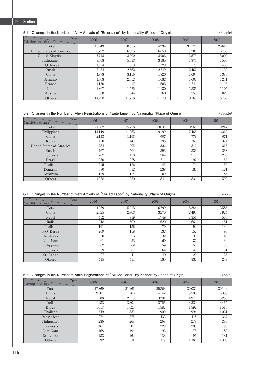#### **5-1 Changes in the Number of New Arrivals of "Entertainer" by Nationality (Place of Origin)** (People)

| Year<br>Nationality(Place of Origin) | 2006   | 2007   | 2008   | 2009   | 2010   |
|--------------------------------------|--------|--------|--------|--------|--------|
| Total                                | 48.249 | 38.855 | 34.994 | 31.170 | 28,612 |
| <b>United States of America</b>      | 6,772  | 6,075  | 6,653  | 7,288  | 6,785  |
| United Kingdom                       | 2,712  | 2,500  | 2,908  | 2,575  | 3,009  |
| Philippines                          | 8.608  | 5.533  | 3.185  | 1,873  | 1.506  |
| R.O. Korea                           | 1,674  | 1,553  | 1,329  | 1,173  | 1,450  |
| Russia                               | 3.454  | 2,562  | 2,249  | 2,467  | 1,432  |
| China                                | 4,978  | 3.156  | 1,820  | 1,694  | 1,386  |
| Germany                              | 1,868  | 2,052  | 1,682  | 1,601  | 1,241  |
| France                               | 1.150  | 1.417  | 1.605  | 1.246  | 1,116  |
| Italy                                | 1.867  | 1.575  | 1.130  | 1,325  | 1.105  |
| Austria                              | 868    | 644    | 1.160  | 759    | 826    |
| Others                               | 14.298 | 11.788 | 11.273 | 9.169  | 8,756  |

#### **5-2 Changes in the Number of Alien Registrations of "Entertainer" by Nationality (Place of Origin)** (People)

| Year<br>Nationality (Place of Origin) | 2006   | 2007   | 2008   | 2009   | 2010  |
|---------------------------------------|--------|--------|--------|--------|-------|
| Total                                 | 21,062 | 15,728 | 13,031 | 10,966 | 9,247 |
| Philippines                           | 14.149 | 11.065 | 9,199  | 7.465  | 6,319 |
| China                                 | 2,153  | 1,193  | 907    | 778    | 671   |
| Korea                                 | 450    | 441    | 398    | 363    | 374   |
| <b>United States of America</b>       | 284    | 305    | 326    | 310    | 318   |
| Russia                                | 767    | 504    | 393    | 333    | 268   |
| Indonesia                             | 787    | 430    | 264    | 218    | 203   |
| <b>Brazil</b>                         | 230    | 228    | 211    | 197    | 159   |
| Thailand                              | 215    | 176    | 145    | 174    | 136   |
| Romania                               | 580    | 312    | 238    | 181    | 121   |
| Australia                             | 119    | 124    | 109    | 111    | 88    |
| Others                                | 1,328  | 950    | 841    | 836    | 590   |

#### **6-1 Changes in the Number of New Arrivals of "Skilled Labor" by Nationality (Place of Origin)** (People)

| Year<br>Nationality(Place of Origin) | 2006  | 2007  | 2008  | 2009  | 2010  |
|--------------------------------------|-------|-------|-------|-------|-------|
| Total                                | 4,239 | 5,315 | 6.799 | 5,384 | 3,588 |
| China                                | 2,325 | 2,903 | 3.270 | 2.495 | 1,924 |
| Nepal                                | 452   | 919   | 1,749 | 1,356 | 563   |
| India                                | 348   | 509   | 620   | 666   | 451   |
| Thailand                             | 191   | 156   | 179   | 192   | 134   |
| R.O. Korea                           | 269   | 158   | 132   | 157   | 90    |
| Australia                            | 30    | 25    | 32    | 30    | 45    |
| Viet Nam                             | 61    | 58    | 60    | 30    | 39    |
| Philippines                          | 62    | 68    | 59    | 52    | 36    |
| Indonesia                            | 59    | 67    | 64    | 47    | 31    |
| Sri Lanka                            | 27    | 41    | 49    | 29    | 26    |
| Others                               | 415   | 411   | 585   | 330   | 249   |

#### **6-2 Changes in the Number of Alien Registrations of "Skilled Labor" by Nationality (Place of Origin)** (People)

| Year<br>Nationality (Place of Origin) | 2006   | 2007   | 2008   | 2009   | 2010   |
|---------------------------------------|--------|--------|--------|--------|--------|
| Total                                 | 17,869 | 21,261 | 25,863 | 29.030 | 30,142 |
| China                                 | 9,807  | 11.766 | 14,142 | 15.595 | 16,350 |
| Nepal                                 | 1,388  | 2,213  | 3.791  | 4,970  | 5,283  |
| India                                 | 1.938  | 2,302  | 2.756  | 3,224  | 3.465  |
| Korea                                 | 1,617  | 1.620  | 1,587  | 1,592  | 1,510  |
| Thailand                              | 749    | 830    | 900    | 994    | 1,021  |
| Bangladesh                            | 274    | 375    | 433    | 418    | 367    |
| Philippines                           | 236    | 268    | 268    | 278    | 283    |
| Indonesia                             | 167    | 200    | 229    | 203    | 193    |
| Viet Nam                              | 168    | 194    | 192    | 175    | 183    |
| Sri Lanka                             | 133    | 162    | 188    | 195    | 181    |
| Others                                | 1,392  | 1.331  | 1,377  | 1.386  | 1,306  |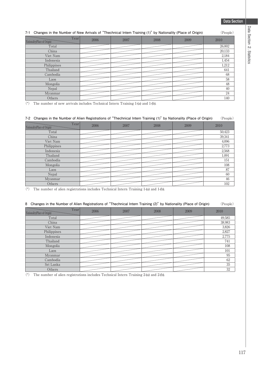#### **7-1 Changes in the Number of New Arrivals of "Thechnical Intern Training (1)" by Nationality (Place of Origin)** (People)

| Year<br>Nationality(Place of Origin) | 2006 | 2007 | 2008 | 2009 | 2010   |
|--------------------------------------|------|------|------|------|--------|
| Total                                |      |      |      |      | 26,002 |
| China                                |      |      |      |      | 20,133 |
| Viet Nam                             |      |      |      |      | 2,184  |
| Indonesia                            |      |      |      |      | 1,454  |
| Philippines                          |      |      |      |      | 1,212  |
| Thailand                             |      |      |      |      | 641    |
| Cambodia                             |      |      |      |      | 68     |
| Laos                                 |      |      |      |      | 58     |
| Mongolia                             |      |      |      |      | 48     |
| Nepal                                |      |      |      |      | 40     |
| Myanmar                              |      |      |      |      | 24     |
| Others                               |      |      |      |      | 140    |

(\*) The number of new arrivals includes Technical Intern Training 1-(a) and 1-(b).

#### **7-2 Changes in the Number of Alien Registrations of "Thechnical Intern Training (1)" by Nationality (Place of Origin)** (People)

| Year<br>Nationality(Place of Origin) | 2006 | 2007 | 2008 | 2009 | 2010   |
|--------------------------------------|------|------|------|------|--------|
| Total                                |      |      |      |      | 50,423 |
| China                                |      |      |      |      | 39,341 |
| Viet Nam                             |      |      |      |      | 4,096  |
| Philippines                          |      |      |      |      | 2,773  |
| Indonesia                            |      |      |      |      | 2,568  |
| Thailand                             |      |      |      |      | 1,091  |
| Cambodia                             |      |      |      |      | 151    |
| Mongolia                             |      |      |      |      | 108    |
| Laos                                 |      |      |      |      | 87     |
| Nepal                                |      |      |      |      | 60     |
| Myanmar                              |      |      |      |      | 46     |
| Others                               |      |      |      |      | 102    |

(\*) The number of alien registrations includes Technical Intern Training 1-(a) and 1-(b).

#### **8 Changes in the Number of Alien Registrations of "Thechnical Intern Training (2)" by Nationality (Place of Origin)** (People)

| Year<br>Nationality(Place of Origin) | 2006 | 2007 | 2008 | 2009 | 2010   |
|--------------------------------------|------|------|------|------|--------|
| Total                                |      |      |      |      | 49,585 |
| China                                |      |      |      |      | 38,983 |
| Viet Nam                             |      |      |      |      | 3,826  |
| Philippines                          |      |      |      |      | 2,827  |
| Indonesia                            |      |      |      |      | 2,775  |
| Thailand                             |      |      |      |      | 741    |
| Mongolia                             |      |      |      |      | 108    |
| Laos                                 |      |      |      |      | 101    |
| Myanmar                              |      |      |      |      | 95     |
| Cambodia                             |      |      |      |      | 62     |
| Sri Lanka                            |      |      |      |      | 35     |
| Others                               |      |      |      |      | 32     |

(\*) The number of alien registrations includes Technical Intern Training 2-(a) and 2-(b).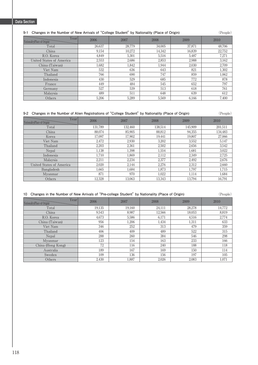#### **9-1 Changes in the Number of New Arrivals of "College Student" by Nationality (Place of Origin)** (People)

| Year<br>Nationality(Place of Origin) | 2006   | 2007   | 2008   | 2009   | 2010   |
|--------------------------------------|--------|--------|--------|--------|--------|
| Total                                | 26.637 | 28,779 | 34,005 | 37,871 | 48,706 |
| China                                | 9.154  | 10.272 | 14,342 | 16,839 | 22,752 |
| R.O. Korea                           | 4.849  | 5.301  | 5,516  | 5.487  | 7,271  |
| United States of America             | 2,553  | 2.686  | 2,853  | 2,988  | 3,162  |
| China (Taiwan)                       | 1,682  | 1,842  | 1,944  | 2,030  | 2,709  |
| Viet Nam                             | 532    | 636    | 643    | 821    | 1,302  |
| Thailand                             | 766    | 690    | 747    | 859    | 1,062  |
| Indonesia                            | 430    | 529    | 685    | 772    | 878    |
| France                               | 449    | 484    | 545    | 652    | 797    |
| Germany                              | 527    | 539    | 513    | 618    | 761    |
| Malaysia                             | 489    | 511    | 648    | 639    | 612    |
| Others                               | 5,206  | 5,289  | 5,569  | 6.166  | 7,400  |

#### **9-2 Changes in the Number of Alien Registrations of "College Student" by Nationality (Place of Origin)** (People)

| Year<br>Nationality(Place of Origin) | 2006    | 2007    | 2008    | 2009    | 2010    |
|--------------------------------------|---------|---------|---------|---------|---------|
| Total                                | 131,789 | 132,460 | 138,514 | 145,909 | 201,511 |
| China                                | 88,074  | 85,905  | 88,812  | 94,355  | 134,483 |
| Korea                                | 17,097  | 17,902  | 19,441  | 19,807  | 27,066  |
| Viet Nam                             | 2,472   | 2,930   | 3,202   | 3,552   | 5,147   |
| Thailand                             | 2.203   | 2,361   | 2,502   | 2,656   | 3,542   |
| Nepal                                | 1.138   | 1.398   | 1.554   | 1.681   | 3,022   |
| Indonesia                            | 1.710   | 1.869   | 2.112   | 2.349   | 2,725   |
| Malaysia                             | 2.211   | 2.234   | 2,377   | 2.492   | 2,676   |
| United States of America             | 2.020   | 2.144   | 2.276   | 2.312   | 2,660   |
| Bangladesh                           | 1.665   | 1.684   | 1,873   | 1.797   | 1,715   |
| Myanmar                              | 871     | 970     | 1.022   | 1.114   | 1,684   |
| Others                               | 12,328  | 13,063  | 13,343  | 13.794  | 16,791  |

#### **10 Changes in the Number of New Arrivals of "Pre-college Student" by Nationality (Place of Origin)** (People)

| Year<br>Nationality(Place of Origin) | 2006   | 2007   | 2008   | 2009   | 2010   |
|--------------------------------------|--------|--------|--------|--------|--------|
| Total                                | 19,135 | 19.160 | 24.111 | 28,278 | 14,772 |
| China                                | 9,543  | 8.987  | 12,566 | 18,053 | 8,819  |
| R.O. Korea                           | 4,673  | 5,586  | 6.171  | 4,516  | 2,774  |
| China (Taiwan)                       | 956    | 1.206  | 1,434  | 1,311  | 633    |
| Viet Nam                             | 346    | 252    | 313    | 479    | 359    |
| Thailand                             | 406    | 409    | 489    | 522    | 315    |
| Nepal                                | 288    | 260    | 384    | 546    | 298    |
| Myanmar                              | 123    | 154    | 163    | 233    | 166    |
| China (Hong Kong)                    | 72     | 116    | 240    | 188    | 118    |
| Australia                            | 189    | 167    | 169    | 150    | 114    |
| Sweden                               | 109    | 136    | 156    | 197    | 105    |
| Others                               | 2,430  | 1,887  | 2,026  | 2,083  | 1,071  |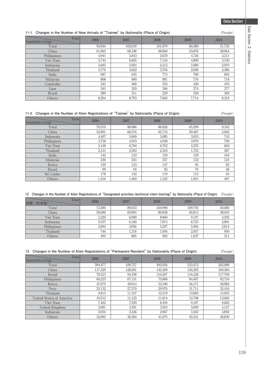#### **11-1 Changes in the Number of New Arrivals of "Trainee" by Nationality (Place of Origin)** (People)

| Year<br>Nationality (Place of Origin) | 2006   | 2007    | 2008    | 2009   | 2010   |
|---------------------------------------|--------|---------|---------|--------|--------|
| Total                                 | 92,846 | 102,018 | 101.879 | 80.480 | 51,725 |
| China                                 | 61,963 | 68,188  | 68.860  | 53,876 | 28,964 |
| Philippines                           | 4.941  | 5.843   | 5.678   | 4.726  | 3,211  |
| Viet Nam                              | 5.744  | 6.605   | 7,124   | 4.890  | 3.150  |
| Indonesia                             | 5,695  | 5,924   | 6.213   | 3.980  | 2,970  |
| Thailand                              | 3.776  | 4,022   | 3.704   | 2.698  | 2,386  |
| India                                 | 687    | 635     | 774     | 760    | 892    |
| Malaysia                              | 808    | 900     | 881     | 776    | 718    |
| Cambodia                              | 343    | 468     | 355     | 436    | 470    |
| Laos                                  | 345    | 329     | 396     | 374    | 377    |
| Brazil                                | 280    | 311     | 229     | 250    | 369    |
| Others                                | 8,264  | 8,793   | 7.665   | 7.714  | 8.218  |

#### **11-2 Changes in the Number of Alien Registrations of "Trainee" by Nationality (Place of Origin)** (People)

| Year<br>Nationality (Place of Origin) | 2006   | 2007   | 2008   | 2009   | 2010  |
|---------------------------------------|--------|--------|--------|--------|-------|
| Total                                 | 70,519 | 88.086 | 86.826 | 65.209 | 9.343 |
| China                                 | 52,901 | 66.576 | 65,716 | 50.487 | 5,602 |
| Indonesia                             | 4,407  | 5,069  | 5,085  | 3,053  | 743   |
| Philippines                           | 3.738  | 4,919  | 4.938  | 3.970  | 730   |
| Viet Nam                              | 5.148  | 6.704  | 6.763  | 4.355  | 663   |
| Thailand                              | 2,121  | 2,583  | 2,324  | 1,725  | 587   |
| India                                 | 142    | 143    | 150    | 159    | 184   |
| Malaysia                              | 230    | 254    | 257    | 132    | 124   |
| Korea                                 | 139    | 133    | 147    | 94     | 82    |
| <b>Brazil</b>                         | 99     | 94     | 82     | 70     | 68    |
| Sri Lanka                             | 178    | 142    | 119    | 113    | 63    |
| Others                                | 1,416  | 1,469  | 1,245  | 1,051  | 497   |

#### **12 Changes in the Number of Alien Registrations of "Designated activities (technical intern training)" by Nationality (Place of Origin)** (People)

| Year<br>国籍<br>(出身地) | 2006   | 2007   | 2008    | 2009    | 2010   |
|---------------------|--------|--------|---------|---------|--------|
| Total               | 73,580 | 89,033 | 104.990 | 109.793 | 50,080 |
| China               | 58,690 | 69,894 | 80,838  | 84,813  | 38,616 |
| Viet Nam            | 5.220  | 6.900  | 8,860   | 9.197   | 4,292  |
| Indonesia           | 5,537  | 6.160  | 7,074   | 6.725   | 2,891  |
| Philippines         | 2,894  | 3.956  | 5,297   | 5.964   | 2,814  |
| Thailand            | 746    | 1,318  | 1,956   | 2,057   | 956    |
| Others              | 493    | 805    | 965     | 1,037   | 511    |

#### **13 Changes in the Number of Alien Registrations of "Permanent Resident" by Nationality (Place of Origin)** (People)

| Year<br>Nationality (Place of Origin) | 2006    | 2007    | 2008    | 2009    | 2010    |
|---------------------------------------|---------|---------|---------|---------|---------|
| Total                                 | 394.477 | 439.757 | 492.056 | 533.472 | 565.089 |
| China                                 | 117.329 | 128.501 | 142.469 | 156.295 | 169.484 |
| <b>Brazil</b>                         | 78.523  | 94.358  | 110.267 | 116.228 | 117.760 |
| Philippines                           | 60.225  | 67.131  | 75,806  | 84.407  | 92,754  |
| Korea                                 | 47.679  | 49.914  | 53.106  | 56.171  | 58,082  |
| Peru                                  | 25.132  | 27.570  | 29.976  | 31.711  | 32.416  |
| Thailand                              | 9.815   | 11.107  | 12.519  | 13,883  | 15,055  |
| United States of America              | 10.512  | 11.125  | 11,814  | 12.708  | 13,065  |
| Viet Nam                              | 7.462   | 7.930   | 8.494   | 9.187   | 9.602   |
| United Kingdom                        | 3.081   | 3.301   | 3.563   | 3.899   | 4.147   |
| Indonesia                             | 2.034   | 2.436   | 2,967   | 3.462   | 3,894   |
| Others                                | 32,685  | 36,384  | 41,075  | 45,521  | 48,830  |

Data Section 2. Statistics **Data Section 2. Statistics**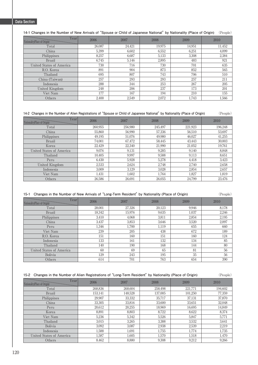**14-1 Changes in the Number of New Arrivals of "Spouse or Child of Japanese National" by Nationality (Place of Origin)** (People)

| Year<br>Nationality(Place of Origin) | 2006   | 2007   | 2008   | 2009   | 2010   |
|--------------------------------------|--------|--------|--------|--------|--------|
| Total                                | 26.087 | 24,421 | 19,975 | 14,951 | 11,452 |
| China                                | 5.399  | 6.602  | 6,552  | 6.251  | 4,099  |
| Philippines                          | 8,257  | 6,687  | 5,133  | 3,308  | 2,384  |
| <b>Brazil</b>                        | 6.745  | 5,146  | 2,895  | 483    | 921    |
| United States of America             | 730    | 716    | 730    | 701    | 635    |
| R.O. Korea                           | 891    | 904    | 873    | 852    | 565    |
| Thailand                             | 695    | 807    | 743    | 706    | 510    |
| China (Taiwan)                       | 257    | 293    | 293    | 257    | 211    |
| Indonesia                            | 288    | 344    | 253    | 267    | 205    |
| United Kingdom                       | 248    | 206    | 237    | 173    | 201    |
| Viet Nam                             | 177    | 167    | 194    | 210    | 155    |
| Others                               | 2,400  | 2,549  | 2,072  | 1,743  | 1,566  |

#### **14-2 Changes in the Number of Alien Registrations of "Spouse or Child of Japanese National" by Nationality (Place of Origin)** (People)

| Year<br>Nationality(Place of Origin) | 2006    | 2007    | 2008    | 2009    | 2010    |
|--------------------------------------|---------|---------|---------|---------|---------|
| Total                                | 260,955 | 256.980 | 245.497 | 221,923 | 196,248 |
| China                                | 55,860  | 56,990  | 57,336  | 56,510  | 53,697  |
| Philippines                          | 49.195  | 51.076  | 49.980  | 46.027  | 41,255  |
| <b>Brazil</b>                        | 74,001  | 67.472  | 58.445  | 43.443  | 30,003  |
| Korea                                | 22.429  | 22.340  | 21,990  | 21,052  | 19,761  |
| <b>United States of America</b>      | 9.076   | 9.131   | 9.285   | 9.140   | 8.848   |
| Thailand                             | 10.405  | 9.997   | 9.588   | 9.113   | 8.651   |
| Peru                                 | 6.430   | 5.928   | 5.278   | 4.418   | 3,423   |
| United Kingdom                       | 2,533   | 2,624   | 2,748   | 2,740   | 2,658   |
| Indonesia                            | 3.009   | 3.129   | 3,028   | 2,854   | 2,657   |
| Viet Nam                             | 1.431   | 1.602   | 1.764   | 1.827   | 1.819   |
| Others                               | 26,586  | 26.691  | 26.055  | 24.799  | 23.476  |

#### **15-1 Changes in the Number of New Arrivals of "Long-Term Resident" by Nationality (Place of Origin)** (People)

| Year<br>Nationality(Place of Origin) | 2006   | 2007   | 2008   | 2009  | 2010  |
|--------------------------------------|--------|--------|--------|-------|-------|
| Total                                | 28,001 | 27,326 | 20,123 | 9.946 | 8.178 |
| <b>Brazil</b>                        | 18,342 | 15,976 | 9,635  | 1,037 | 2,246 |
| Philippines                          | 3.410  | 4,068  | 3,811  | 2,854 | 2,195 |
| China                                | 3.437  | 3.853  | 3.646  | 3.520 | 2,097 |
| Peru                                 | 1,346  | 1.700  | 1,119  | 655   | 660   |
| Viet Nam                             | 239    | 205    | 438    | 672   | 189   |
| R.O. Korea                           | 151    | 160    | 151    | 160   | 124   |
| Indonesia                            | 133    | 161    | 132    | 134   | 85    |
| Thailand                             | 140    | 190    | 168    | 144   | 80    |
| United States of America             | 60     | 69     | 65     | 81    | 56    |
| Bolivia                              | 129    | 243    | 195    | 35    | 56    |
| Others                               | 614    | 701    | 763    | 654   | 390   |

#### **15-2 Changes in the Number of Alien Registrations of "Long-Term Resident" by Nationality (Place of Origin)** (People)

| Year<br>Nationality (Place of Origin) | 2006    |         | 2008    | 2009    | 2010    |
|---------------------------------------|---------|---------|---------|---------|---------|
| Total                                 | 268,836 | 268.604 | 258.498 | 221,771 | 194,602 |
| <b>Brazil</b>                         | 153.141 | 148.528 | 137.005 | 101.250 | 77,359  |
| Philippines                           | 29.907  | 33,332  | 35.717  | 37.131  | 37,870  |
| China                                 | 33,305  | 33,816  | 33,600  | 33,651  | 32,048  |
| Peru                                  | 20.612  | 20.255  | 18.969  | 16.695  | 14,849  |
| Korea                                 | 8.891   | 8.803   | 8.722   | 8.622   | 8.374   |
| Viet Nam                              | 5.236   | 5.342   | 5.526   | 5.847   | 5,771   |
| Thailand                              | 3.015   | 3.265   | 3.388   | 3.532   | 3,641   |
| Bolivia                               | 3.092   | 3.087   | 2.938   | 2,539   | 2,219   |
| Indonesia                             | 1,588   | 1,691   | 1.755   | 1,774   | 1,735   |
| <b>United States of America</b>       | 1.587   | 1.605   | 1.570   | 1.518   | 1,470   |
| Others                                | 8.462   | 8.880   | 9.308   | 9.212   | 9.266   |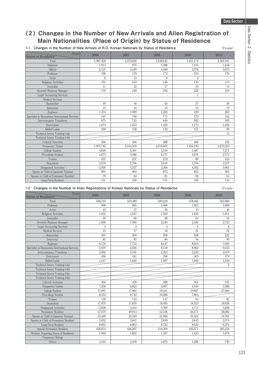## **(2)Changes in the Number of New Arrivals and Alien Registration of Main Nationalities(Place of Origin) by Status of Residence**

**1-1 Changes in the Number of New Arrivals of R.O. Korean Nationals by Status of Residence** (People)

| Year<br><b>Status of Residence</b>              | 2006      | 2007                     | 2008      | 2009                     | 2010      |
|-------------------------------------------------|-----------|--------------------------|-----------|--------------------------|-----------|
| Total                                           | 1.997.459 | 2.472.620                | 2.248.645 | 1.451.174                | 2,303,161 |
| Diplomat                                        | 1,013     | 976                      | 1,388     | 1.191                    | 1,218     |
| Official                                        | 2,127     | 2,439                    | 4.499     | 3,578                    | 3,675     |
| Professor                                       | 190       | 170                      | 172       | 219                      | 170       |
| Artist                                          | 8         | 15                       | 8         | $\overline{2}$           |           |
| Religious Activities                            | 151       | 163                      | 126       | 133                      | 113       |
| Journalist                                      | 11        | 22                       | 17        | 10                       | 14        |
| Investor/Business Manager                       | 170       | 248                      | 216       | 228                      | 210       |
| Legal/Accounting Services                       | $\sim$    | $\overline{\phantom{a}}$ | ä,        | 1                        |           |
| <b>Medical Services</b>                         | $\sim$    | $\overline{\phantom{a}}$ | ÷         | $\overline{\phantom{a}}$ |           |
| Researcher                                      | 49        | 46                       | 46        | 37                       | 36        |
| Instructor                                      | 15        | 16                       | 15        | 15                       | 19        |
| Engineer                                        | 1.474     | 1.999                    | 1.292     | 439                      | 302       |
| Specialist in Humanities/International Services | 547       | 700                      | 771       | 570                      | 552       |
| Intra-company Transferee                        | 675       | 745                      | 649       | 592                      | 505       |
| Entertainer                                     | 1.674     | 1,553                    | 1.329     | 1.173                    | 1,450     |
| Skilled Labor                                   | 269       | 158                      | 132       | 157                      | 90        |
| Technical Intern Training 1-(a)                 |           |                          |           |                          | 13        |
| Technical Intern Training 1-(b)                 |           |                          |           |                          |           |
| Cultural Activities                             | 356       | 466                      | 388       | 466                      | 332       |
| Temporary Visitor                               | 1,972,745 | 2,444,529                | 2,218,602 | 1,424,195                | 2,275,293 |
| College Student                                 | 4.849     | 5,301                    | 5,516     | 5,487                    | 7,271     |
| Pre-college Student                             | 4.673     | 5,586                    | 6.171     | 4,516                    | 2.774     |
| Trainee                                         | 257       | 237                      | 219       | 89                       | 163       |
| Dependent                                       | 2,579     | 2.766                    | 2,618     | 2,376                    | 2,257     |
| Designated Activities                           | 2,506     | 3,337                    | 3,366     | 4,592                    | 5.961     |
| Spouse or Child of Japanese National            | 891       | 904                      | 873       | 852                      | 565       |
| Spouse or Child of Permanent Resident           | 79        | 84                       | 81        | 96                       | 54        |
| Long-Term Resident                              | 151       | 160                      | 151       | 160                      | 124       |

### **1-2 Changes in the Number of Alien Registrations of Korean Nationals by Status of Residence** (People)

Year Status of Residence 2006 2007 2008 2009 2010 Total 598,219 593,219 593,489 589,239 578,495 565,989 Professor 996 965 1,006 1,025 1,009 Artist (\* 1908) (\* 1918) (\* 1918) (\* 1918) (\* 1918) (\* 1918) (\* 1918) (\* 1918) (\* 1919) (\* 1919) (\* 1919) (\* 1 Religious Activities 1,032 1,047 1,049 1,049 1,049 1,011 Journalist 59 59 66 66 68 68 64 54 Investor/Business Manager 1,609 1,900 1,900 2,249 2,249 2,249 2,723 Legal/Accounting Services 34466 Medical Services  $15$  15  $17$  18  $18$  21  $21$ Researcher 261 261 269 269 258 258 258 232 Instructor 1994 | 1990 1991 | 1991 | 1992 | 1993 | 1994 | 1992 | 1994 | 1992 | 1993 | 1994 | 1992 | 1994 | 199 Engineer 6,176 7,733 8,647 8,015 7,050 8,015 7,050 Specialist in Humanities/International Services 5,919 6,926 8,118 8,962 8,962 9,233 Intra-company/Transferee 2,092 2,092 2,181 2,265 2,242 2,079 Entertainer 1980 - 1980 - 1980 - 1980 - 1980 - 1980 - 1980 - 1980 - 1980 - 1980 - 1980 - 1980 - 1980 - 1980 - 1 Skilled Labor 1,617 1,620 1,620 1,587 1,592 1,592 1,510 Technical Intern Training 1-(a) 5 Technical Intern Training 1-(b) Technical Intern Training 2-(a) Technical Intern Training 2(b)  $\qquad \qquad$ Cultural Activities 404 458 398 364 335 Temporary Visitor **7,250** 6,824 5,007 4,184 3,386 College Student 17,097 17,097 17,902 19,441 19,807 27,066 Pre-college Student 8,254 9,742 10,286 7,804 Trainee 139 139 133 147 147 94 138 23 Dependent 17,070 17,070 17,859 18,026 18,533 18,026 Pesignated Activities 2,836 3,444 3,389 4,711 5,820<br>
Permanent Resident 47679 49914 53,106 56,171 58,082 Permanent Resident 47,679 49,914 53,106 56,171 58,082 Spouse or Child of Japanese National 22,429 22,340 21,990 21,052 19,761 21,652 22,574<br>Spouse or Child of Permanent Resident 2,652 2,661 2,699 2,643 2,574 Spouse or Child of Permanent Resident 2,652 2,661 2,699 2,643 Long-Term Resident 8,891 8,803 8,722 8,622 8,374 Special Permanent Resident 138,974 426,207 416,309 405,571 395,234 Without Acquiring Status of Residence 1,993 1,802 1,802 1,597 1,425 1,425 1,074 Temporary Refuge Others (2,194 | 2,109 | 1,875 | 1,288 | 730 | 2,109 | 2,109 | 2,109 | 2,109 | 2,109 | 2,109 | 2,109 | 2,109 | 2,109 | 2,109 | 2,109 | 2,109 | 2,109 | 2,109 | 2,109 | 2,109 | 2,109 | 2,109 | 2,109 | 2,109 | 2,109 | 2,109 |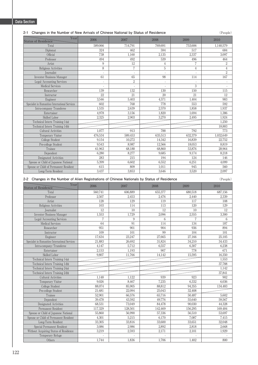#### **2-1 Changes in the Number of New Arrivals of Chinese National by Status of Residence** (People)

| Year<br><b>Status of Residence</b>              | 2006                     | 2007           | 2008        | 2009    | 2010           |
|-------------------------------------------------|--------------------------|----------------|-------------|---------|----------------|
| Total                                           | 589,066                  | 714,791        | 769.691     | 753,606 | 1,140,579      |
| Diplomat                                        | 324                      | 462            | 594         | 517     | 684            |
| Official                                        | 738                      | 1,160          | 2,135       | 2,337   | 3,097          |
| Professor                                       | 494                      | 492            | 539         | 496     | 464            |
| Artist                                          | 9                        | 12             | 4           | 7       | $\overline{2}$ |
| Religious Activities                            | 8                        | $\overline{7}$ | $\mathbf 5$ | 4       | $\overline{4}$ |
| Journalist                                      | ÷,                       |                | J.          |         | $\overline{2}$ |
| Investor/Business Manager                       | 61                       | 65             | 98          | 114     | 167            |
| Legal/Accounting Services                       | $\overline{\phantom{a}}$ | $\overline{2}$ | ÷,          |         | J.             |
| <b>Medical Services</b>                         | ٠                        |                | J.          | 3       |                |
| Researcher                                      | 139                      | 132            | 130         | 150     | 115            |
| Instructor                                      | 22                       | 21             | 20          | 21      | 12             |
| Engineer                                        | 3,546                    | 5,403          | 4,571       | 1,404   | 983            |
| Specialist in Humanities/International Services | 602                      | 768            | 778         | 553     | 592            |
| Intra-company Transferee                        | 1.535                    | 2,639          | 2,570       | 1,858   | 1,937          |
| Entertainer                                     | 4,978                    | 3,156          | 1,820       | 1,694   | 1,386          |
| Skilled Labor                                   | 2,325                    | 2,903          | 3,270       | 2,495   | 1,924          |
| Technical Intern Training 1-(a)                 |                          |                |             |         | 1,250          |
| Technical Intern Training 1-(b)                 |                          |                |             |         | 18.883         |
| <b>Cultural Activities</b>                      | 1.077                    | 913            | 788         | 792     | 773            |
| Temporary Visitor                               | 476,534                  | 589,453        | 635,513     | 632,379 | 1,032,649      |
| College Student                                 | 9,154                    | 10,272         | 14,342      | 16,839  | 22,752         |
| Pre-college Student                             | 9,543                    | 8,987          | 12,566      | 18,053  | 8,819          |
| Trainee                                         | 61,963                   | 68.188         | 68.860      | 53.876  | 28,964         |
| Dependent                                       | 6.280                    | 8.277          | 9,685       | 9,174   | 8,218          |
| Designated Activities                           | 283                      | 215            | 194         | 124     | 146            |
| Spouse or Child of Japanese National            | 5,399                    | 6,602          | 6,552       | 6,251   | 4,099          |
| Spouse or Child of Permanent Resident           | 615                      | 809            | 1,011       | 945     | 560            |
| Long-Term Resident                              | 3,437                    | 3,853          | 3,646       | 3,520   | 2,097          |

#### **2-2 Changes in the Number of Alien Registrations of Chinese Nationals by Status of Residence** (People)

Year Status of Residence *Year* 2006 2007 2008 2008 2009 2010 Total 560,741 606,889 655,377 680,518 687,156 Professor 2,507 2,453 2,476 2,440 2,339 Artist († 128 | 129 | 119 | 117 | 108 Religious Activities 103 103 114 113 120 129 Journalist 12 10 12 10 12 Investor/Business Manager 1,553 1,729 2,096 2,555 3,300 Legal/Accounting Services 79676 Medical Services 64 91 114 134 187<br>Researcher 951 901 904 936 894 Researcher 1980 1951 901 904 936 936 894 894 936 936 894 894 936 936 894 894 894 936 936 894 894 936 937 938 9 Instructor 109 109 101 99 104 101 101 Engineer 17,634 23,247 27,665 27,166 27,166 25,105 Specialist in Humanities/International Services 21,883 26,692 31,824 34,210 34,433 Intra-company/Transferee 4,147 5,712 6,557 6,307 6,238 Entertainer 1986 1997 - 2,153 1,193 1,193 1,193 1,193 1,193 1,193 1,193 1,193 1,193 1,193 1,193 1,193 1,193 1,193 1,193 1,193 1,193 1,193 1,193 1,193 1,193 1,193 1,193 1,193 1,193 1,193 1,193 1,193 1,193 1,193 1,193 1,193 Skilled Labor 9,807 11,766 14,142 15,595 16,350 Technical Intern Training 1-(a) 1,553 Technical Intern Training 1-(b) 37,788<br>
Technical Intern Training 2-(a) 1.142 Technical Intern Training 2-(a) Technical Intern Training 2-(b) 37,841 Cultural Activities 1,148 1,122 939 923 902 Temporary Visitor **9,026** 8,467 7,235 6,332 6,036 6,332 6,036 6,332 6,036 6,332 6,036 6,036 6,036 6,036 6,036 6,036 College Student 88,074 85,905 88,812 94,355 134,483 Pre-college Student 21,681 22,094 25,043 32,408 Trainee 52,901 66,576 65,716 50,487 5,602 Dependent 39,478 43,592 49,776 55,640 59,567 Designated Activities 1 68,531 68,531 73,049 84,478 90,030 44,328 Permanent Resident 117,329 128,501 142,469 156,295 169,484 Spouse or Child of Japanese National 55,860 56,990 57,336 56,510 53,697 Spouse or Child of Permanent Resident 4,301 5,215 6,170 7,087 7,415 Long-Term Resident 1 33,305 33,816 33,600 33,651 32,048 Special Permanent Resident 1 2,086 2,986 2,892 2,818 2,668 2,668 2,668 2,668 2,668 2,692 2,818 2,668 2,668 2,668 2,668 2,668 2,668 2,668 2,668 2,668 2,668 2,668 2,668 2,668 2,668 2,668 2,668 2,171 2,101 1,929 Without Acquiring Status of Residence Temporary Refuge 1.744

Others 1,744 1,836 1,706 1,402 1,402 800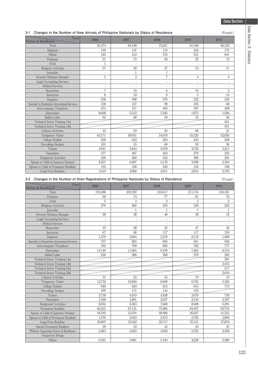#### **3-1 Changes in the Number of New Arrivals of Philippine Nationals by Status of Residence** (People) Year Status of Residence  $\text{Year}$  2006 2007 2008 2009 2009 2010 Total 91,474 84,198 75,651 61,100 66,120 Diplomat 149 147 119 216 175 Offi cial 342 412 476 541 641 Professor 21 15 20 25 12 Artist 1---- Religious Activities 57 29 27 15 17 Journalist -11 - - Investor/Business Manager 55744444455567/Business Manager 55744444445567/Business Manager 557444445677444456774444567744444567744444567744445677744445677744445677744445677744445677744445677744445677744445677744445677744445 Legal/Accounting Services Medical Services ----- Researcher 7 10 6 16 3 Instructor 8 10 9 510 Engineer 558 598 576 252 226 Specialist in Humanities/International Services 138 127 98 105 68<br>
138 127 98 105 5 68<br>
1417 495 397 498 Intra-company Transferee 375 417 495 397 Entertainer 1,506 1,506 1,506 1,506 1,506 1,506 1,506 1,506 1,506 1,506 1,506 1,506 1,506 1,506 1,506 1,506 1,506 Skilled Labor 62 68 59 52 36 Technical Intern Training 1-(a) 261 Technical Intern Training 1-(b) 951<br>
Cultural Activities 42 23 35 66 21 Cultural Activities **12** 23 35 66 21<br>
Temporary Visitor 63.171 58.931 54.678 45.320 52.856 Temporary Visitor College Student 258 226 242 245 258 258 Pre-college Student 101 101 45 60 59 36 Trainee 4,941 5,843 5,678 4,726 3,211 Dependent 377 487 462 379 352 Designated Activities **426** 266 242 486 291 Spouse or Child of Japanese National 8,257 6,687 6,687 5,133 3,308 3,308 2,384 Spouse or Child of Permanent Resident 192 236 236 220 156 108 Long-Term Resident 1 3,410 4,068 3,811 2,854 2,195

#### **3-2 Changes in the Number of Alien Registrations of Philippine Nationals by Status of Residence** (People)

Year Status of Residence 2006 2007 2008 2009 2010 Total 193,488 202,592 210,617 211,716 210,181 Professor 69 73 77 81 76 Artist 53332 Religious Activities 225 225 226 226 226 226 226 226 225 Journalist -1111 Investor/Business Manager 38 38 38 40 38 43 Legal/Accounting Services and the counting Services of the counting Services of the counting Services of the counting Services of the counting Services of the counting Services of the counting Services of the counting Serv Medical Services **Alle Services** 1988 Contact 1988 Contact 1988 Contact 1988 Contact 1988 Contact 1988 Contact 1988 Contact 1988 Contact 1988 Contact 1988 Contact 1988 Contact 1988 Contact 1988 Contact 1988 Contact 1988 Co Researcher 1980  $\begin{array}{|c|c|c|c|c|c|}\n\hline\n & 33 & 35 & 35 \\
\hline\n\end{array}$ Instructor 67 88 117 117 159 Engineer 1,579 2,004 2,276 2,118 1,968 Specialist in Humanities/International Services 757 825 895 951 940 Intra-company/Transferee 702 709 826 782 777 Entertainer 14,149 11,065 9,199 7,465 6,319 Skilled Labor 236 268 268 278 283 Technical Intern Training 1-(a) 301 Technical Intern Training 1-(b)<br>
Technical Intern Training 2-(a)<br>
217 Technical Intern Training 2-(a) Technical Intern Training 2-(b) 2,610 Cultural Activities 31 31 22 16 19 19 Temporary Visitor 12,732 10,856 8,698 6,705 5,326 College Student 640 643 614 615 713 Pre-college Student 199 199 171 144 133 Trainee 3,738 4,919 4,938 3,970 730 Dependent 1,590 1,801 2,047 2,134 2,197 Designated Activities 1 1 2 3,052 6,363 6,608 5,291 Permanent Resident 1 1 2025 67,131 75,806 84,407 92,754 Spouse or Child of Japanese National 49,195 51,076 49,980 46,027 41,255 Spouse or Child of Permanent Resident 1,570 2,032 2,472 2,765 2,899 Long-Term Resident 29,907 33,332 35,717 37,131 37,870 Special Permanent Resident 39 42 42 45 45 Without Acquiring Status of Residence Temporary Refuge Others 6,181 5,801 5,443 4,258 2,289

Data **Data Section 2. Statistics** a Section 2. Statistics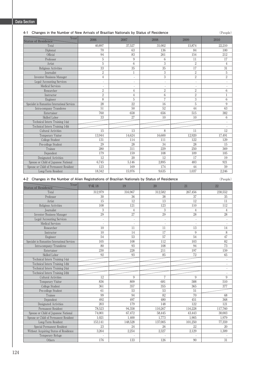#### **4-1 Changes in the Number of New Arrivals of Brazilian Nationals by Status of Residence** (People)

| Year<br><b>Status of Residence</b>              | 2006                     | 2007                     | 2008            | 2009                     | 2010           |
|-------------------------------------------------|--------------------------|--------------------------|-----------------|--------------------------|----------------|
| Total                                           | 40.897                   | 37,527                   | 31,002          | 15,874                   | 22.210         |
| Diplomat                                        | 70                       | 63                       | 136             | 84                       | 100            |
| Official                                        | 94                       | 83                       | 261             | 154                      | 212            |
| Professor                                       | 5                        | 9                        | 6               | 11                       | 17             |
| Artist                                          | 5                        | 6                        | 3               | $\overline{2}$           | $\overline{4}$ |
| Religious Activities                            | 33                       | 35                       | $\overline{35}$ | 17                       | 31             |
| Journalist                                      | $\overline{2}$           | 1                        | 3               | $\overline{2}$           | 5              |
| Investor/Business Manager                       | $\overline{4}$           | $\overline{\phantom{a}}$ | 3               | $\overline{2}$           | $\overline{2}$ |
| Legal/Accounting Services                       | $\overline{\phantom{a}}$ |                          | $\overline{a}$  | ÷,                       | J.             |
| <b>Medical Services</b>                         | $\overline{\phantom{a}}$ | $\overline{\phantom{a}}$ | ٠.              | $\overline{\phantom{a}}$ |                |
| Researcher                                      | $\overline{2}$           | 4                        | $\sqrt{2}$      | $\overline{2}$           | 6              |
| Instructor                                      | $\overline{2}$           | $\overline{4}$           | 6               | $\overline{2}$           | $\mathbf{1}$   |
| Engineer                                        | 8                        | 5                        | $\overline{7}$  | 3                        | 6              |
| Specialist in Humanities/International Services | 28                       | 22                       | 16              | 5                        | 9              |
| Intra-company Transferee                        | 51                       | 50                       | 52              | 44                       | 63             |
| Entertainer                                     | 760                      | 658                      | 656             | 515                      | 382            |
| Skilled Labor                                   | 33                       | 27                       | 10              | 10                       | 6              |
| Technical Intern Training 1-(a)                 |                          |                          |                 |                          |                |
| Technical Intern Training 1-(b)                 |                          |                          |                 |                          |                |
| <b>Cultural Activities</b>                      | 15                       | 13                       | 8               | 11                       | 12             |
| Temporary Visitor                               | 13,944                   | 14,624                   | 16,600          | 12,920                   | 17,491         |
| College Student                                 | 131                      | 114                      | 111             | 122                      | 129            |
| Pre-college Student                             | 29                       | 28                       | 34              | 28                       | 15             |
| Trainee                                         | 280                      | 311                      | 229             | 250                      | 369            |
| Dependent                                       | 179                      | 159                      | 108             | 109                      | 105            |
| Designated Activities                           | 12                       | 20                       | 12              | 17                       | 19             |
| Spouse or Child of Japanese National            | 6,745                    | 5,146                    | 2.895           | 483                      | 921            |
| Spouse or Child of Permanent Resident           | 123                      | 169                      | 174             | 44                       | 59             |
| Long-Term Resident                              | 18,342                   | 15,976                   | 9,635           | 1,037                    | 2,246          |

#### **4-2 Changes in the Number of Alien Registrations of Brazilian Nationals by Status of Residence** (People)

| Year<br><b>Status of Residence</b>              | 平成 18                    | 19             | 20                       | 21             | 22                       |
|-------------------------------------------------|--------------------------|----------------|--------------------------|----------------|--------------------------|
| Total                                           | 312,979                  | 316,967        | 312,582                  | 267,456        | 230,552                  |
| Professor                                       | 30                       | 36             | 38                       | 37             | 35                       |
| Artist                                          | 15                       | 12             | 13                       | 12             | 11                       |
| Religious Activities                            | 108                      | 121            | 123                      | 110            | 112                      |
| Journalist                                      | 3                        | $\overline{4}$ | 3                        | $\overline{4}$ | $\overline{4}$           |
| Investor/Business Manager                       | 29                       | 27             | 29                       | 28             | 28                       |
| Legal/Accounting Services                       | $\overline{\phantom{a}}$ | ÷,             | ÷,                       | $\sim$         | $\overline{a}$           |
| <b>Medical Services</b>                         | $\overline{\phantom{a}}$ | ÷,             | $\overline{\phantom{a}}$ |                | $\overline{a}$           |
| Researcher                                      | 10                       | 11             | 11                       | 13             | 14                       |
| Instructor                                      | 10                       | 14             | 17                       | 9              | 8                        |
| Engineer                                        | 54                       | 53             | 57                       | 54             | 47                       |
| Specialist in Humanities/International Services | 105                      | 108            | 112                      | 103            | 82                       |
| Intra-company/Transferee                        | 80                       | 93             | 108                      | 94             | 73                       |
| Entertainer                                     | 230                      | 228            | 211                      | 197            | 159                      |
| Skilled Labor                                   | 92                       | 93             | 85                       | 72             | 65                       |
| Technical Intern Training 1-(a)                 |                          |                |                          |                | $\overline{\phantom{a}}$ |
| Technical Intern Training 1-(b)                 |                          |                |                          |                | $\overline{\phantom{a}}$ |
| Technical Intern Training 2-(a)                 |                          |                |                          |                | $\overline{a}$           |
| Technical Intern Training 2-(b)                 |                          |                |                          |                | $\overline{\phantom{a}}$ |
| <b>Cultural Activities</b>                      | 12                       | 9              | $\overline{7}$           | 9              | 9                        |
| Temporary Visitor                               | 836                      | 809            | 681                      | 588            | 510                      |
| College Student                                 | 361                      | 357            | 355                      | 365            | 377                      |
| Pre-college Student                             | 61                       | 53             | 53                       | 51             |                          |
| Trainee                                         | 99                       | 94             | 82                       | 70             | 68                       |
| Dependent                                       | 492                      | 497            | 480                      | 451            | 368                      |
| Designated Activities                           | 203                      | 179            | 148                      | 122            | 121                      |
| Permanent Resident                              | 78,523                   | 94,358         | 110,267                  | 116,228        | 117,760                  |
| Spouse or Child of Japanese National            | 74,001                   | 67,472         | 58,445                   | 43,443         | 30,003                   |
| Spouse or Child of Permanent Resident           | 1,021                    | 1,400          | 1,773                    | 1,905          | 1,979                    |
| Long-Term Resident                              | 153,141                  | 148,528        | 137,005                  | 101,250        | 77,359                   |
| Special Permanent Resident                      | 23                       | 24             | 26                       | 22             | 20                       |
| Without Acquiring Status of Residence           | 3,264                    | 2,254          | 2,327                    | 2,129          | 1,309                    |
| Temporary Refuge                                |                          |                |                          |                |                          |
| Others                                          | 176                      | 133            | 126                      | 90             | 31                       |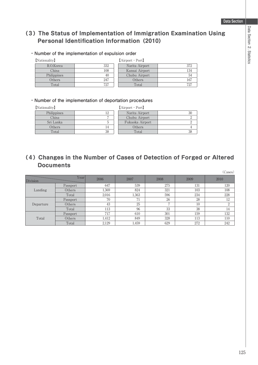## **(3)The Status of Implementation of Immigration Examination Using Personal Identification Information (2010)**

#### **・Number of the implementation of expulsion order**

| $\mathbf{1}$ . The contract $\mathbf{1}$ |     |
|------------------------------------------|-----|
| R.O.Korea                                | 332 |
| China                                    | 108 |
| Philippines                              | 40  |
| Others                                   | 247 |
| Total                                    |     |

#### 【Nationality】 【Airport・Port】

| R.O.Korea   | 332 | Narita Airport | 372 |
|-------------|-----|----------------|-----|
| China       | 108 | Kansai Airport | 134 |
| Philippines | 40  | Chubu Airport  | 54  |
| Others      | 247 | Others         | 167 |
| Total       | 727 | Total          | 727 |

#### **・Number of the implementation of deportation procedures**

【Nationality】 【Airport・Port】

| Philippines |    |
|-------------|----|
| China       |    |
| Sri Lanka   |    |
| Others      |    |
| Total       | 38 |

| nality J    | $[Arport \cdot Port]$ |  |                 |    |  |
|-------------|-----------------------|--|-----------------|----|--|
| Philippines | l2                    |  | Narita Airport  | 30 |  |
| China       |                       |  | Chubu Airport   |    |  |
| Sri Lanka   |                       |  | Fukuoka Airport |    |  |
| Others      | 14                    |  | Others          |    |  |
| Total       | 38                    |  | Total           |    |  |

## **(4)Changes in the Number of Cases of Detection of Forged or Altered Documents**

| (Cases)   |          |       |       |      |      |      |
|-----------|----------|-------|-------|------|------|------|
| Division  | Year     | 2006  | 2007  | 2008 | 2009 | 2010 |
| Landing   | Passport | 647   | 539   | 275  | 131  | 120  |
|           | Others   | 1,369 | 824   | 321  | 103  | 108  |
|           | Total    | 2,016 | 1,363 | 596  | 234  | 228  |
| Departure | Passport | 70    | 71    | 26   | 28   | 12   |
|           | Others   | 43    | 25    | ┍    | 10   | 2    |
|           | Total    | 113   | 96    | 33   | 38   | 14   |
| Total     | Passport | 717   | 610   | 301  | 159  | 132  |
|           | Others   | 1,412 | 849   | 328  | 113  | 110  |
|           | Total    | 2,129 | 1,459 | 629  | 272  | 242  |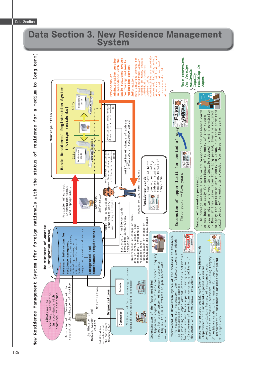# **Data Section 3. New Residence Management System**

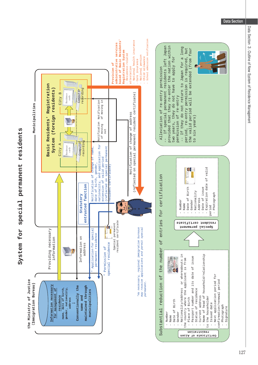



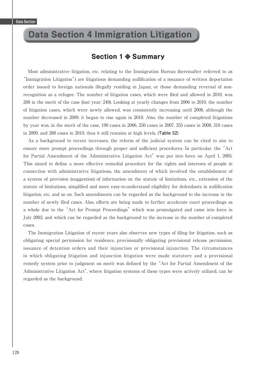## **Data Section 4 Immigration Litigation**

## **Section 1 ◆ Summary**

 Most administrative litigation, etc. relating to the Immigration Bureau (hereinafter referred to as "Immigration Litigation") are litigations demanding nullification of a issuance of written deportation order issued to foreign nationals illegally residing in Japan, or those demanding reversal of nonrecognition as a refugee. The number of litigation cases, which were filed and allowed in 2010, was 268 in the merit of the case (last year: 240). Looking at yearly changes from 2006 to 2010, the number of litigation cases, which were newly allowed, was consistently increasing until 2008, although the number decreased in 2009, it began to rise again in 2010. Also, the number of completed litigations by year was, in the merit of the case, 190 cases in 2006, 250 cases in 2007, 355 cases in 2008, 310 cases in 2009, and 288 cases in 2010, thus it still remains at high levels. (**Table 52**)

 As a background to recent increases, the reform of the judicial system can be cited to aim to ensure more prompt proceedings through proper and sufficient procedures. In particular, the "Act for Partial Amendment of the Administrative Litigation Act" was put into force on April 1, 2005. This aimed to define a more effective remedial procedure for the rights and interests of people in connection with administrative litigations, the amendment of which involved the establishment of a system of provision (suggestion) of information on the statute of limitations, etc., extension of the statute of limitations, simplified and more easy-to-understand eligibility for defendants in nullification litigation, etc. and so on. Such amendments can be regarded as the background to the increase in the number of newly filed cases. Also, efforts are being made to further accelerate court proceedings as a whole due to the "Act for Prompt Proceedings" which was promulgated and came into force in July 2003, and which can be regarded as the background to the increase in the number of completed cases.

The Immigration Litigation of recent years also observes new types of filing for litigation, such as obligating special permission for residence, provisionally obligating provisional release permission, issuance of detention orders and their injunction or provisional injunction. The circumstances in which obligating litigation and injunction litigation were made statutory and a provisional remedy system prior to judgment on merit was defined by the "Act for Partial Amendment of the Administrative Litigation Act", where litigation systems of these types were actively utilized, can be regarded as the background.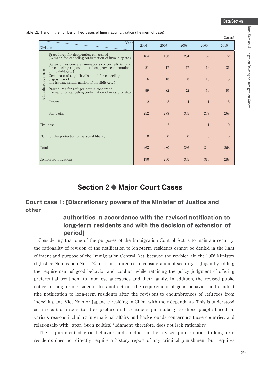$\sqrt{a}$ 

| table 52: Trend in the number of filed cases of Immigration Litigation (the merit of case) |  |  |
|--------------------------------------------------------------------------------------------|--|--|
|--------------------------------------------------------------------------------------------|--|--|

|                     | (Cases)                                                                                                                             |                |                |                |              |                |
|---------------------|-------------------------------------------------------------------------------------------------------------------------------------|----------------|----------------|----------------|--------------|----------------|
| Division            | Year                                                                                                                                | 2006           | 2007           | 2008           | 2009         | 2010           |
|                     | Procedures for deportation concerned<br>(Demand for canceling; confirmation of invalidity, etc.)                                    | 164            | 158            | 234            | 162          | 172            |
|                     | Status of residence examinations concerned(Demand<br>for canceling disposition of disapproval; confirmation<br>of invalidity, etc.) | 21             | 17             | 17             | 16           | 21             |
| Administrative case | Certificate of eligibility (Demand for canceling<br>disposition of<br>non-issuance;confirmation of invalidity,etc.)                 | 6              | 18             | 8              | 10           | 15             |
|                     | Procedures for refugee status concerned<br>(Demand for canceling; confirmation of invalidity, etc.)                                 | 59             | 82             | 72             | 50           | 55             |
|                     | Others                                                                                                                              | $\overline{2}$ | 3              | $\overline{4}$ | $\mathbf{1}$ | $\overline{5}$ |
|                     | Sub-Total                                                                                                                           | 252            | 278            | 335            | 239          | 268            |
| Civil case          |                                                                                                                                     | 11             | $\overline{2}$ | $\mathbf{1}$   | $\mathbf{1}$ | $\overline{0}$ |
|                     | Claim of the protection of personal liberty                                                                                         | $\theta$       | $\theta$       | $\theta$       | $\Omega$     | $\Omega$       |
| Total               |                                                                                                                                     | 263            | 280            | 336            | 240          | 268            |
|                     | Completed litigations                                                                                                               | 190            | 250            | 355            | 310          | 288            |

## **Section 2 ◆ Major Court Cases**

## **Court case 1: [Discretionary powers of the Minister of Justice and other**

## **authorities in accordance with the revised notification to long-term residents and with the decision of extension of period]**

 Considering that one of the purposes of the Immigration Control Act is to maintain security, the rationality of revision of the notification to long-term residents cannot be denied in the light of intent and purpose of the Immigration Control Act, because the revision (in the 2006 Ministry of Justice Notification No. 172) of that is directed to consideration of security in Japan by adding the requirement of good behavior and conduct, while retaining the policy judgment of offering preferential treatment to Japanese ancestries and their family. In addition, the revised public notice to long-term residents does not set out the requirement of good behavior and conduct (the notification to long-term residents after the revision) to encumbrances of refugees from Indochina and Viet Nam or Japanese residing in China with their dependants. This is understood as a result of intent to offer preferential treatment particularly to those people based on various reasons including international affairs and backgrounds concerning those countries, and relationship with Japan. Such political judgment, therefore, does not lack rationality.

 The requirement of good behavior and conduct in the revised public notice to long-term residents does not directly require a history report of any criminal punishment but requires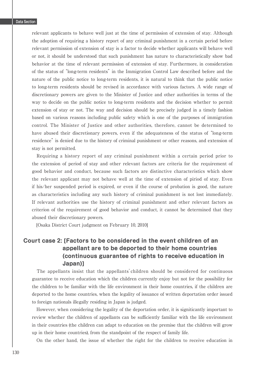relevant applicants to behave well just at the time of permission of extension of stay. Although the adoption of requiring a history report of any criminal punishment in a certain period before relevant permission of extension of stay is a factor to decide whether applicants will behave well or not, it should be understood that such punishment has nature to characteristically show bad behavior at the time of relevant permission of extension of stay. Furthermore, in consideration of the status of "long-term residents" in the Immigration Control Law described before and the nature of the public notice to long-term residents, it is natural to think that the public notice to long-term residents should be revised in accordance with various factors. A wide range of discretionary powers are given to the Minister of Justice and other authorities in terms of the way to decide on the public notice to long-term residents and the decision whether to permit extension of stay or not. The way and decision should be precisely judged in a timely fashion based on various reasons including public safety which is one of the purposes of immigration control. The Minister of Justice and other authorities, therefore, cannot be determined to have abused their discretionary powers, even if the adequateness of the status of "long-term residence" is denied due to the history of criminal punishment or other reasons, and extension of stay is not permitted.

 Requiring a history report of any criminal punishment within a certain period prior to the extension of period of stay and other relevant factors are criteria for the requirement of good behavior and conduct, because such factors are distinctive characteristics which show the relevant applicant may not behave well at the time of extension of piriod of stay. Even if his/her suspended period is expired, or even if the course of probation is good, the nature as characteristics including any such history of criminal punishment is not lost immediately. If relevant authorities use the history of criminal punishment and other relevant factors as criterion of the requirement of good behavior and conduct, it cannot be determined that they abused their discretionary powers.

[Osaka District Court judgment on February 10, 2010]

## **Court case 2: [Factors to be considered in the event children of an appellant are to be deported to their home countries (continuous guarantee of rights to receive education in Japan)]**

 The appellants insist that the appellants' children should be considered for continuous guarantee to receive education which the children currently enjoy but not for the possibility for the children to be familiar with the life environment in their home countries, if the children are deported to the home countries, when the legality of issuance of written deportation order issued to foreign nationals illegally residing in Japan is judged.

 However, when considering the legality of the deportation order, it is signiticantly important to review whether the children of appellants can be sufficiently familiar with the life environment in their countries (the children can adapt to education on the premise that the children will grow up in their home countries), from the standpoint of the respect of family life.

On the other hand, the issue of whether the right for the children to receive education in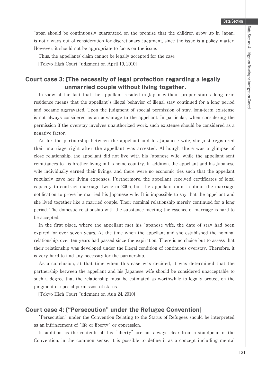Japan should be continuously guaranteed on the premise that the children grow up in Japan, is not always out of consideration for discretionary judgment, since the issue is a policy matter. However, it should not be appropriate to focus on the issue.

Thus, the appellants' claim cannot be legally accepted for the case.

[Tokyo High Court Judgment on April 19, 2010]

### **Court case 3: [The necessity of legal protection regarding a legally unmarried couple without living together.**

 In view of the fact that the appellant resided in Japan without proper status, long-term residence means that the appellant's illegal behavior of illegal stay continued for a long period and became aggravated. Upon the judgment of special permission of stay, long-term existense is not always considered as an advantage to the appellant. In particular, when considering the permission if the overstay involves unauthorized work, such existense should be considered as a negative factor.

 As for the partnership between the appellant and his Japanese wife, she just registered their marriage right after the appellant was arrested. Although there was a glimpse of close relationship, the appellant did not live with his Japanese wife, while the appellant sent remittances to his brother living in his home country. In addition, the appellant and his Japanese wife individually earned their livings, and there were no economic ties such that the appellant regularly gave her living expenses. Furthermore, the appellant received certificates of legal capacity to contract marriage twice in 2006, but the appellant didn't submit the marriage notification to prove he married his Japanese wife. It is impossible to say that the appellant and she lived together like a married couple. Their nominal relationship merely continued for a long period. The domestic relationship with the substance meeting the essence of marriage is hard to be accepted.

 In the first place, where the appellant met his Japanese wife, the date of stay had been expired for over seven years. At the time when the appellant and she established the nominal relationship, over ten years had passed since the expiration. There is no choice but to assess that their relationship was developed under the illegal condition of continuous overstay. Therefore, it is very hard to find any necessity for the partnership.

 As a conclusion, at that time when this case was decided, it was determined that the partnership between the appellant and his Japanese wife should be considered unacceptable to such a degree that the relationship must be estimated as worthwhile to legally protect on the judgment of special permission of status.

[Tokyo High Court Judgment on Aug 24, 2010]

#### **Court case 4: ["Persecution" under the Refugee Convention]**

 "Persecution" under the Convention Relating to the Status of Refugees should be interpreted as an infringement of "life or liberty" or oppression.

 In addition, as the contents of this "liberty" are not always clear from a standpoint of the Convention, in the common sense, it is possible to define it as a concept including mental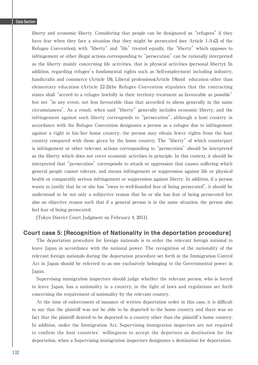liberty and economic liberty. Considering that people can be designated as "refugees" if they have fear when they face a situation that they might be persecuted (see Article 1-A-(2) of the Refugee Convention), with "liberty" and "life" treated equally, the "liberty" which opposes to infringement or other illegal actions corresponding to "persecution" can be rationally interpreted as the liberty mainly concerning life activities, that is physical activities (personal liberty). In addition, regarding refugee's fundamental rights such as Self-employment including industry, handicrafts and commerce (Article 18), Liberal professions(Article 19)and education other than elementary education (Article 22-2)the Refugee Convention stipulates that the contracting states shall "accord to a refugee lawfully in their territory treatment as favourable as possible" but not "in any event, not less favourable than that accorded to aliens generally in the same circumstances". As a result, when said "liberty" generally includes economic liberty, and the infringement against such liberty corresponds to "persecution", although a host country in accordance with the Refugee Convention designates a person as a refugee due to infringement against a right in his/her home country, the person may obtain fewer rights from the host country compared with those given by the home country. The "liberty" of which counterpart is infringement or other relevant actions corresponding to "persecution" should be interpreted as the liberty which does not cover economic activities in principle. In this context, it should be interpreted that "persecution" corresponds to attack or oppression that causes suffering which general people cannot tolerate, and means infringement or suppression against life or physical health or comparably serious infringement or suppression against liberty. In addition, if a person wants to justify that he or she has "owes to well-founded fear of being persecuted", it should be understood to be not only a subjective reason that he or she has fear of being persecuted but also an objective reason such that if a general person is in the same situation, the person also feel fear of being persecuted.

[Tokyo District Court Judgment on February 4, 2011]

#### **Court case 5: [Recognition of Nationality in the deportation procedure]**

 The deportation procedure for foreign nationals is to order the relevant foreign national to leave Japan in accordance with the national power. The recognition of the nationality of the relevant foreign nationals during the deportation procedure set forth in the Immigration Control Act in Japan should be referred to as one exclusively belonging to the Governmental power in Japan.

 Supervising immigration inspectors should judge whether the relevant person, who is forced to leave Japan, has a nationality in a country, in the light of laws and regulations set forth concerning the requirement of nationality by the relevant country.

At the time of enforcement of issuance of written deportation order in this case, it is difficult to say that the plaintiff was not be able to be deported to the home country and there was no fact that the plaintiff desired to be deported to a country other than the plaintiff 's home country. In addition, under the Immigration Act, Supervising immigration inspectors are not required to confirm the host countries'willingness to accept the deportees as destination for the deportation, when a Supervising immigration inspectors designates a destination for deportation.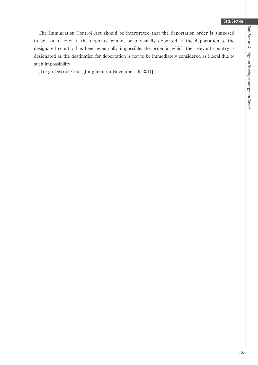The Immigration Control Act should be interpreted that the deportation order is supposed to be issued, even if the deportee cannot be physically deported. If the deportation to the designated country has been eventually impossible, the order in which the relevant country is designated as the destination for deportation is not to be immediately considered as illegal due to such impossibility.

[Tokyo District Court Judgment on November 19, 2011]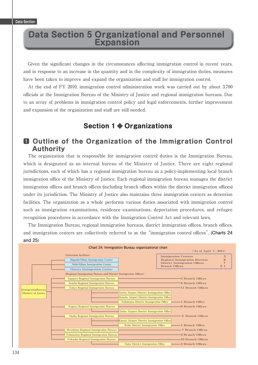# **Data Section 5 Organizational and Personnel Expansion**

Given the significant changes in the circumstances affecting immigration control in recent years, and in response to an increase in the quantity and in the complexity of immigration duties, measures have been taken to improve and expand the organization and staff for immigration control.

 At the end of FY 2010, immigration control administration work was carried out by about 3,700 offi cials at the Immigration Bureau of the Ministry of Justice and regional immigration bureaus. Due to an array of problems in immigration control policy and legal enforcements, further improvement and expansion of the organization and staff are still needed.

## **Section 1 ◆ Organizations**

## 唖 **Outline of the Organization of the Immigration Control Authority**

 The organization that is responsible for immigration control duties is the Immigration Bureau, which is designated as an internal bureau of the Ministry of Justice. There are eight regional jurisdictions, each of which has a regional immigration bureau as a policy-implementing local branch immigration office of the Ministry of Justice. Each regional immigration bureau manages the district immigration offices and branch offices (including branch offices within the district immigration offices) under its jurisdiction. The Ministry of Justice also maintains three immigration centers as detention facilities. The organization as a whole performs various duties associated with immigration control such as immigration examinations, residence examinations, deportation procedures, and refugee recognition procedures in accordance with the Immigration Control Act and relevant laws.

The Immigration Bureau, regional immigration bureaus, district immigration offices, branch offices, and immigration centers are collectively referred to as the "immigration control offices". (**Charts 24 and 25**)

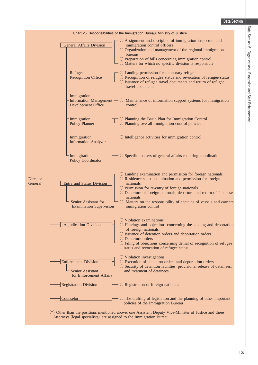|                      | Chart 25: Responsibilities of the Immigration Bureau, Ministry of Justice                                                                                                                                                                                                                                                                                                                                                                                                                                 |
|----------------------|-----------------------------------------------------------------------------------------------------------------------------------------------------------------------------------------------------------------------------------------------------------------------------------------------------------------------------------------------------------------------------------------------------------------------------------------------------------------------------------------------------------|
|                      | O Assignment and discipline of immigration inspectors and<br><b>General Affairs Division</b><br>immigration control officers<br>$\bigcirc$ Organization and management of the regional immigration<br>bureaus<br>$\bigcirc$ Preparation of bills concerning immigration control<br>$\sim$ Matters for which no specific division is responsible                                                                                                                                                           |
|                      | $\bigcirc$ Landing permission for temporary refuge<br>Refugee<br><b>Recognition Office</b><br>○ Recognition of refugee status and revocation of refugee status<br>○ Issuance of refugee travel documents and return of refugee<br>travel documents                                                                                                                                                                                                                                                        |
|                      | Immigration<br>Information Management $\sim$ O Maintenance of information support systems for immigration<br>Development Office<br>control                                                                                                                                                                                                                                                                                                                                                                |
|                      | $\Box$ $\bigcirc$ Planning the Basic Plan for Immigration Control $\Box$ $\bigcirc$ Planning overall immigration control policies<br>Immigration<br><b>Policy Planner</b>                                                                                                                                                                                                                                                                                                                                 |
|                      | $\sim$ O Intelligence activities for immigration control<br>Immigiration<br><b>Information Analyzer</b>                                                                                                                                                                                                                                                                                                                                                                                                   |
|                      | Immigiration<br>$\sim$ O Specific matters of general affairs requiring coordination<br><b>Policy Coordinator</b>                                                                                                                                                                                                                                                                                                                                                                                          |
| Director-<br>General | $\bigcirc$ Landing examination and permission for foreign nationals<br>$\bigcirc$ Residence status examination and permission for foreign<br><b>Entry and Status Division</b><br>nationals<br>O Permission for re-entry of foreign nationals<br>$\bigcirc$ Departure of foreign nationals, departure and return of Japanese<br>nationals<br>Senior Assistant for<br>$\bigcirc$ Matters on the responsibility of captains of vessels and carriers<br><b>Examination Supervision</b><br>immigration control |
|                      | $\circlearrowright$ Violation examinations<br>$\bigcirc$ Hearings and objections concerning the landing and deportation<br><b>Adjudication Division</b><br>of foreign nationals<br>O Issuance of detention orders and deportation orders<br>$\bigcirc$ Departure orders<br>$\bigcirc$ Filing of objections concerning denial of recognition of refugee<br>status and revocation of refugee status                                                                                                         |
|                      | $\bigcirc$ Violation investigations<br><b>Enforcement Division</b><br>○ Execution of detention orders and deportation orders<br>○ Security of detention facilities, provisional release of detainees,<br>Senior Assistant<br>and treatment of detainees<br>for Enforcement Affairs                                                                                                                                                                                                                        |
|                      | <b>Registration Division</b><br>$\bigcirc$ Registration of foreign nationals                                                                                                                                                                                                                                                                                                                                                                                                                              |
|                      | Counselor<br>$\bigcirc$ The drafting of legislation and the planning of other important<br>policies of the Immigration Bureau                                                                                                                                                                                                                                                                                                                                                                             |

䋨\*䋩 Other than the positions mentioned above, one Assistant Deputy Vice-Minister of Justice and three Attorneys (legal specialists) are assigned to the Immigration Bureau.

L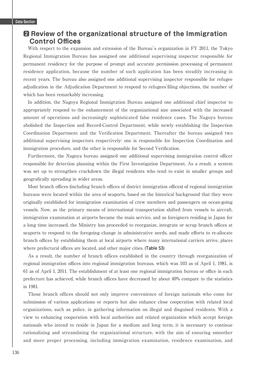## $\Omega$  Review of the organizational structure of the Immigration **Control Offices**

 With respect to the expansion and extension of the Bureau's organization in FY 2011, the Tokyo Regional Immigration Bureau has assigned one additional supervising inspector responsible for permanent residency for the purpose of prompt and accurate permission processing of permanent residence application, because the number of such application has been steadily increasing in recent years. The bureau also assigned one additional supervising inspector responsible for refugee adjudication in the Adjudication Department to respond to refugees' filing objections, the number of which has been remarkably increasing.

 In addition, the Nagoya Regional Immigration Bureau assigned one additional chief inspector to appropriately respond to the enhancement of the organizational size associated with the increased amount of operations and increasingly sophisticated false residence cases. The Nagoya bureau abolished the Inspection and Record-Control Department, while newly establishing the Inspection Coordination Department and the Verification Department. Thereafter the bureau assigned two additional supervising inspectors respectively: one is responsible for Inspection Coordination and immigration procedure, and the other is responsible for Second Verification.

Furthermore, the Nagoya bureau assigned one additional supervising immigration control officer responsible for detection planning within the First Investigation Department. As a result, a system was set up to strengthen crackdown the illegal residents who tend to exist in smaller groups and geografically spreading in wider areas.

Most branch offices (including branch offices of district immigration offices) of regional immigration bureaus were located within the area of seaports, based on the historical background that they were originally established for immigration examination of crew members and passengers on ocean-going vessels. Now, as the primary means of international transportation shifted from vessels to aircraft, immigration examination at airports became the main service, and as foreigners residing in Japan for a long time increased, the Ministry has proceeded to reorganize, integrate or scrap branch offices at seaports to respond to the foregoing change in administrative needs, and made efforts to re-allocate branch offices by establishing them at local airports where many international carriers arrive, places where prefectural offices are located, and other major cities. (Table 53)

 As a result, the number of branch offices established in the country through reorganization of regional immigration offices into regional immigration bureaus, which was 103 as of April 1, 1981, is 61 as of April 1, 2011. The establishment of at least one regional immigration bureau or office in each prefecture has achieved, while branch offices have decreased by about 40% compare to the statistics in 1981.

 Those branch offices should not only improve convenience of foreign nationals who come for submission of various applications or reports but also enhance close cooperation with related local organizations, such as police, in gathering information on illegal and disguised residents. With a view to enhancing cooperation with local authorities and related organization which accept foreign nationals who intend to reside in Japan for a medium and long term, it is necessary to continue rationalizing and streamlining the organizational structure, with the aim of ensuring smoother and more proper processing, including immigration examination, residence examination, and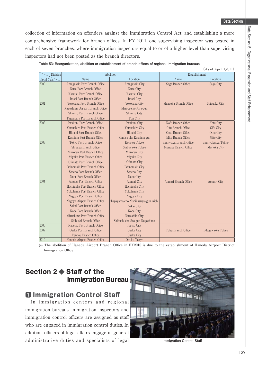collection of information on offenders against the Immigration Control Act, and establishing a more comprehensive framework for branch offices. In FY 2011, one supervising inspector was posted in each of seven branches, where immigration inspectors equal to or of a higher level than supervising inspectors had not been posted as the branch directors.

Table 53: Reorganization, abolition or establishment of branch offices of regional immigration bureaus

| . |                      |  |
|---|----------------------|--|
|   | (As of April 1,2011) |  |

| Division    |                                 | Abolition                           | Establishment           |                    |  |  |
|-------------|---------------------------------|-------------------------------------|-------------------------|--------------------|--|--|
| Fiscal Year | Name                            | Location                            | Name                    | Location           |  |  |
| 2000        | Amagasaki Port Branch Office    | Amagasaki City                      | Saga Branch Office      | Saga City          |  |  |
|             | Kure Port Branch Office         | Kure City                           |                         |                    |  |  |
|             | Karatsu Port Branch Office      | Karatsu City                        |                         |                    |  |  |
|             | Imari Port Branch Office        | Imari City                          |                         |                    |  |  |
| 2001        | Yokosuka Port Branch Office     | Yokosuka City                       | Shizuoka Branch Office  | Shizuoka City      |  |  |
|             | Kagoshima Airport Branch Office | Mizobe-cho Aira-gun                 |                         |                    |  |  |
|             | Shimizu Port Branch Office      | Shimizu City                        |                         |                    |  |  |
|             | Tagonoura Port Branch Office    | Fuji City                           |                         |                    |  |  |
| 2002        | Iwakuni Port Branch Office      | Iwakuni City                        | Kofu Branch Office      | Kofu City          |  |  |
|             | Yatsushiro Port Branch Office   | Yatsushiro City                     | Gifu Branch Office      | Gifu City          |  |  |
|             | Hitachi Port Branch Office      | Hitachi City                        | Otsu Branch Office      | Otsu City          |  |  |
|             | Kashima Port Branch Office      | Kamisu-cho Kashima-gun              | Mito Branch Office      | Mito City          |  |  |
| 2003        | Tokyo Port Branch Office        | Koto-ku Tokyo                       | Shinjyuku Branch Office | Shinjyuku-ku Tokyo |  |  |
|             | Shibuya Branch Office           | Shibuya-ku Tokyo                    | Morioka Branch Office   | Morioka City       |  |  |
|             | Muroran Port Branch Office      | Muroran City                        |                         |                    |  |  |
|             | Miyako Port Branch Office       | Miyako City                         |                         |                    |  |  |
|             | Ofunato Port Branch Office      | Ofunato City                        |                         |                    |  |  |
|             | Ishinomaki Port Branch Office   | Ishinomaki City                     |                         |                    |  |  |
|             | Sasebo Port Branch Office       | Sasebo City                         |                         |                    |  |  |
|             | Naha Port Branch Office         | Naha City                           |                         |                    |  |  |
| 2004        | Aomori Port Branch Office       | Aomori City                         | Aomori Branch Office    | Aomori City        |  |  |
|             | Hachinohe Port Branch Office    | Hachinohe City                      |                         |                    |  |  |
|             | Yokohama Port Branch Office     | Yokohama City                       |                         |                    |  |  |
|             | Nagoya Port Branch Office       | Nagoya City                         |                         |                    |  |  |
|             | Nagoya Airport Branch Office    | Toyoyama-cho Nishikasugai-gun Aichi |                         |                    |  |  |
|             | Sakai Port Branch Office        | Sakai City                          |                         |                    |  |  |
|             | Kobe Port Branch Office         | Kobe City                           |                         |                    |  |  |
|             | Mizushima Port Branch Office    | Kurashiki City                      |                         |                    |  |  |
|             | Shibushi Branch Office          | Shibushi-cho Soo-gun Kagoshima      |                         |                    |  |  |
| 2005        | Naoetsu Port Branch Office      | Joetsu City                         |                         |                    |  |  |
| 2007        | Osaka Port Branch Office        | Osaka City                          | Tobu Branch Office      | Edogawa-ku Tokyo   |  |  |
|             | Tennoji Branch Office           | Osaka City                          |                         |                    |  |  |
| 2010        | Haneda Airport Branch Office    | Ota-ku Tokyo                        |                         |                    |  |  |

(\*) The abolition of Haneda Airport Branch Office in FY2010 is due to the establishment of Haneda Airport District Immigration Office

## **Section 2 ◆ Staff of the Immigration Bureau**

## 唖 **Immigration Control Staff**

 In immigration centers and regional immigration bureaus, immigration inspectors and immigration control officers are assigned as staff who are engaged in immigration control duties. In addition, officers of legal affairs engage in general administrative duties and specialists of legal **Immigration Control Staff** 

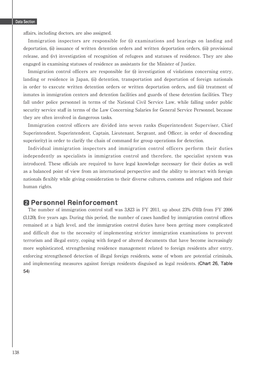affairs, including doctors, are also assigned.

 Immigration inspectors are responsible for (i) examinations and hearings on landing and deportation, (ii) issuance of written detention orders and written deportation orders, (iii) provisional release, and (iv) investigation of recognition of refugees and statuses of residence. They are also engaged in examining statuses of residence as assistants for the Minister of Justice.

 Immigration control officers are responsible for (i) investigation of violations concerning entry, landing or residence in Japan, (ii) detention, transportation and deportation of foreign nationals in order to execute written detention orders or written deportation orders, and (iii) treatment of inmates in immigration centers and detention facilities and guards of these detention facilities. They fall under police personnel in terms of the National Civil Service Law, while falling under public security service staff in terms of the Law Concerning Salaries for General Service Personnel, because they are often involved in dangerous tasks.

 Immigration control officers are divided into seven ranks (Superintendent Superviser, Chief Superintendent, Superintendent, Captain, Lieutenant, Sergeant, and Officer, in order of descending superiority) in order to clarify the chain of command for group operations for detection.

 Individual immigration inspectors and immigration control officers perform their duties independently as specialists in immigration control and therefore, the specialist system was introduced. These officials are required to have legal knowledge necessary for their duties as well as a balanced point of view from an international perspective and the ability to interact with foreign nationals flexibly while giving consideration to their diverse cultures, customs and religions and their human rights.

## **Pa Personnel Reinforcement**

 The number of immigration control staff was 3,823 in FY 2011, up about 23% (703) from FY 2006  $(3,120)$ , five years ago. During this period, the number of cases handled by immigration control offices remained at a high level, and the immigration control duties have been getting more complicated and difficult due to the necessity of implementing stricter immigration examinations to prevent terrorism and illegal entry, coping with forged or altered documents that have become increasingly more sophisticated, strengthening residence management related to foreign residents after entry, enforcing strengthened detection of illegal foreign residents, some of whom are potential criminals, and implementing measures against foreign residents disguised as legal residents. (**Chart 26, Table 54**)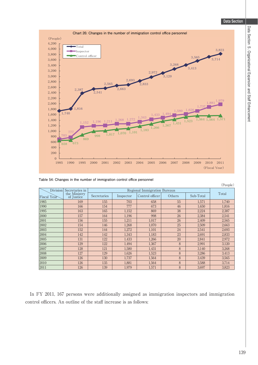

Table 54: Changes in the number of immigration control office personnel

|                 |                            |                              |           |                 |        |           | (People) |
|-----------------|----------------------------|------------------------------|-----------|-----------------|--------|-----------|----------|
| <b>Division</b> | Secretaries in             | Regional Immigration Bureaus |           |                 |        |           |          |
| Fiscal Year     | the Ministry<br>of Justice | Secretaries                  | Inspector | Control officer | Others | Sub-Total | Total    |
| 1985            | 169                        | 155                          | 703       | 658             | 55     | 1,571     | 1.740    |
| 1990            | 166                        | 154                          | 777       | 673             | 46     | 1.650     | 1,816    |
| 1995            | 163                        | 165                          | 1,152     | 869             | 38     | 2.224     | 2,387    |
| 2000            | 157                        | 164                          | 1,196     | 998             | 26     | 2,384     | 2,541    |
| 2001            | 156                        | 155                          | 1.211     | 1.017           | 26     | 2.409     | 2,565    |
| 2002            | 154                        | 146                          | 1.268     | 1.070           | 25     | 2.509     | 2,663    |
| 2003            | 152                        | 144                          | 1.272     | 1,101           | 24     | 2,541     | 2,693    |
| 2004            | 142                        | 142                          | 1.343     | 1,183           | 23     | 2.691     | 2,833    |
| 2005            | 131                        | 122                          | 1,433     | 1.266           | 20     | 2.841     | 2,972    |
| 2006            | 129                        | 122                          | 1,494     | 1.367           | 8      | 2.991     | 3,120    |
| 2007            | 128                        | 121                          | 1,580     | 1,431           | 8      | 3.140     | 3,268    |
| 2008            | 127                        | 129                          | 1,626     | 1,523           | 8      | 3.286     | 3.413    |
| 2009            | 126                        | 130                          | 1.737     | 1.564           | 8      | 3.439     | 3,565    |
| 2010            | 126                        | 135                          | 1,881     | 1,564           | 8      | 3,588     | 3,714    |
| 2011            | 126                        | 139                          | 1.979     | 1.571           | 8      | 3.697     | 3,823    |

 In FY 2011, 167 persons were additionally assigned as immigration inspectors and immigration control officers. An outline of the staff increase is as follows: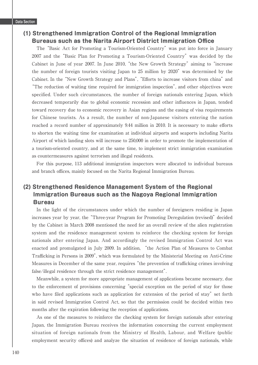### **(1) Strengthened Immigration Control of the Regional Immigration Bureaus such as the Narita Airport District Immigration Office**

 The "Basic Act for Promoting a Tourism-Oriented Country" was put into force in January 2007 and the "Basic Plan for Promoting a Tourism-Oriented Country" was decided by the Cabinet in June of year 2007. In June 2010, "the New Growth Strategy" aiming to "increase the number of foreign tourists visiting Japan to 25 million by 2020" was determined by the Cabinet. In the "New Growth Strategy and Plans", "Efforts to increase visitors from china" and "The reduction of waiting time required for immigration inspection", and other objectives were specified. Under such circumstances, the number of foreign nationals entering Japan, which decreased temporarily due to global economic recession and other influences in Japan, tended toward recovery due to economic recovery in Asian regions and the easing of visa requirements for Chinese tourists. As a result, the number of non-Japanese visitors entering the nation reached a record number of approximately 9.44 million in 2010. It is necessary to make efforts to shorten the waiting time for examination at individual airports and seaports including Narita Airport of which landing slots will increase to 250,000 in order to promote the implementation of a tourism-oriented country, and at the same time, to implement strict immigration examination as countermeasures against terrorism and illegal residents.

 For this purpose, 113 additional immigration inspectors were allocated to individual bureaus and branch offices, mainly focused on the Narita Regional Immigration Bureau.

## **(2) Strengthened Residence Management System of the Regional Immigration Bureaus such as the Nagoya Regional Immigration Bureau**

 In the light of the circumstances under which the number of foreigners residing in Japan increases year by year, the "Three-year Program for Promoting Deregulation (revised)" decided by the Cabinet in March 2008 mentioned the need for an overall review of the alien registration system and the residence management system to reinforce the checking system for foreign nationals after entering Japan. And accordingly the revised Immigration Control Act was enacted and promulgated in July 2009. In addition, "the Action Plan of Measures to Combat Trafficking in Persons in 2009", which was formulated by the Ministerial Meeting on Anti-Crime Measures in December of the same year, requires "the prevention of trafficking crimes involving false/illegal residence through the strict residence management".

 Meanwhile, a system for more appropriate management of applications became necessary, due to the enforcement of provisions concerning "special exception on the period of stay for those who have filed applications such as application for extension of the period of stay" set forth in said revised Immigration Control Act, so that the permission could be decided within two months after the expiration following the reception of applications.

 As one of the measures to reinforce the checking system for foreign nationals after entering Japan, the Immigration Bureau receives the information concerning the current employment situation of foreign nationals from the Ministry of Health, Labour, and Welfare (public employment security offices) and analyze the situation of residence of foreign nationals, while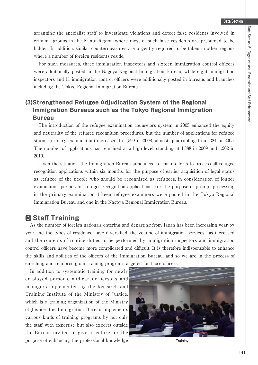arranging the specialist staff to investigate violations and detect false residents involved in criminal groups in the Kanto Region where most of such false residents are presumed to be hidden. In addition, similar countermeasures are urgently required to be taken in other regions where a number of foreign residents reside.

 For such measures, three immigration inspectors and sixteen immigration control officers were additionally posted in the Nagoya Regional Immigration Bureau, while eight immigration inspectors and 11 immigration control officers were additionally posted in bureaus and branches including the Tokyo Regional Immigration Bureau.

## **(3)Strengthened Refugee Adjudication System of the Regional Immigration Bureaus such as the Tokyo Regional Immigration Bureau**

 The introduction of the refugee examination counselors system in 2005 enhanced the equity and neutrality of the refugee recognition procedures, but the number of applications for refugee status (primary examination) increased to 1,599 in 2008, almost quadrupling from 384 in 2005. The number of applications has remained at a high level, standing at 1,388 in 2009 and 1,202 in 2010.

Given the situation, the Immigration Bureau announced to make efforts to process all refugee recognition applications within six months, for the purpose of earlier acquisition of legal status as refugee of the people who should be recognized as refugees, in consideration of longer examination periods for refugee recognition applications. For the purpose of prompt processing in the primary examination, fifteen refugee examiners were posted in the Tokyo Regional Immigration Bureau and one in the Nagoya Regional Immigration Bureau.

## 阿 **Staff Training**

 As the number of foreign nationals entering and departing from Japan has been increasing year by year and the types of residence have diversified, the volume of immigration services has increased and the contents of routine duties to be performed by immigration inspectors and immigration control officers have become more complicated and difficult. It is therefore indispensable to enhance the skills and abilities of the officers of the Immigration Bureau, and so we are in the process of enriching and reinforcing our training program targeted for those officers.

 In addition to systematic training for newly employed persons, mid-career persons and managers implemented by the Research and Training Institute of the Ministry of Justice, which is a training organization of the Ministry of Justice, the Immigration Bureau implements various kinds of training programs by not only the staff with expertise but also experts outside the Bureau invited to give a lecture for the purpose of enhancing the professional knowledge **Training**

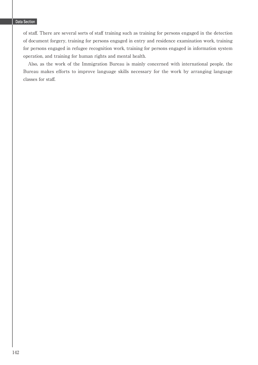of staff . There are several sorts of staff training such as training for persons engaged in the detection of document forgery, training for persons engaged in entry and residence examination work, training for persons engaged in refugee recognition work, training for persons engaged in information system operation, and training for human rights and mental health.

 Also, as the work of the Immigration Bureau is mainly concerned with international people, the Bureau makes efforts to improve language skills necessary for the work by arranging language classes for staff.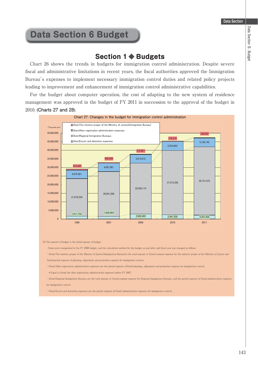## **Data Section 6 Budget**

## **Section 1 ◆ Budgets**

 Chart 26 shows the trends in budgets for immigration control administration. Despite severe fiscal and administrative limitations in recent years, the fiscal authorities approved the Immigration Bureau's expenses to implement necessary immigration control duties and related policy projects leading to improvement and enhancement of immigration control administrative capabilities.

 For the budget about computer operation, the cost of adapting to the new system of residence management was approved in the budget of FY 2011 in succession to the approval of the budget in 2010. (**Charts 27 and 28**).



㩿㪁㪀㩷㪫㪿㪼㩷㪸㫄㫆㫌㫅㫋㩷㫆㪽㩷㪹㫌㪻㪾㪼㫋㩷㫀㫊㩷㫋㪿㪼㩷㫀㫅㫀㫋㫀㪸㫃㩷㪸㫄㫆㫌㫅㫋㩷㫆㪽㩷㪹㫌㪻㪾㪼㫋㪅

㩷㩷㩷㩷㩷㩷䊶㪠㫋㪼㫄㫊㩷㫎㪼㫉㪼㩷㫉㪼㫆㫉㪾㪸㫅㫀㫑㪼㪻㩷㫀㫅㩷㫋㪿㪼㩷㪝㪰㩷㪉㪇㪇㪏㩷㪹㫌㪻㪾㪼㫋㪃㩷㪸㫅㪻㩷㫋㪿㪼㩷㪺㪸㫃㪺㫌㫃㪸㫋㫀㫆㫅㩷㫄㪼㫋㪿㫆㪻㩷㪽㫆㫉㩷㫋㪿㪼㩷㪹㫌㪻㪾㪼㫋㩷㫆㫅㩷㪸㫅㪻㩷㪸㪽㫋㪼㫉㩷㫊㪸㫀㪻㩷㪽㫀㫊㪺㪸㫃㩷㫐㪼㪸㫉㩷㫎㪸㫊㩷㪺㪿㪸㫅㪾㪼㪻㩷㪸㫊㩷㪽㫆㫃㫃㫆㫎㫊㪑

㩷㩷㩷㩷㩷㩷䊶䋨㪠㫋㪼㫄䋩㪫㪿㪼㩷㫄㫀㫅㫀㫊㫋㫉㫐㩷㫇㫉㫆㫇㪼㫉㩷㫆㪽㩷㫋㪿㪼㩷㪤㫀㫅㫀㫊㫋㫉㫐㩷㫆㪽㩷㪡㫌㫊㫋㫀㪺㪼䋨㪠㫄㫄㫀㪾㫉㪸㫋㫀㫆㫅㩷㪙㫌㫉㪼㪸㫌䋩㫀㫊㩷㫋㪿㪼㩷㫋㫆㫋㪸㫃㩷㪸㫄㫆㫌㫅㫋㩷㫆㪽㩷䋨㫀㫋㪼㫄䋩㪺㫆㫄㫄㫆㫅㩷㪼㫏㫇㪼㫅㫊㪼㩷㪽㫆㫉㩷㫋㪿㪼㩷㫄㫀㫅㫀㫊㫋㫉㫐㩷㫇㫉㫆㫇㪼㫉㩷㫆㪽㩷㫋㪿㪼㩷㪤㫀㫅㫀㫊㫋㫉㫐㩷㫆㪽㩷㪡㫌㫊㫋㫀㪺㪼㩷㪸㫅㪻㩷 (item) partial expense of planning, adjustment and promotion expense for immigration control.

㩷㩷㩷㩷㩷㩷䊶䋨㪠㫋㪼㫄䋩㪘㫃㫀㪼㫅㩷㫉㪼㪾㫀㫊㫋㫉㪸㫋㫀㫆㫅㩷㪸㪻㫄㫀㫅㫀㫊㫋㫉㪸㫋㫀㫆㫅㩷㪼㫏㫇㪼㫅㫊㪼㫊㩷㪸㫉㪼㩷㫋㪿㪼㩷㫇㪸㫉㫋㫀㪸㫃㩷㪼㫏㫇㪼㫅㫊㪼㩷㫆㪽䋨㫀㫋㪼㫄䋩㫇㫃㪸㫅㫅㫀㫅㪾㪃㩷㪸㪻㫁㫌㫊㫋㫄㪼㫅㫋㩷㪸㫅㪻㩷㫇㫉㫆㫄㫆㫋㫀㫆㫅㩷㪼㫏㫇㪼㫅㫊㪼㩷㪽㫆㫉㩷㫀㫄㫄㫀㪾㫉㪸㫋㫀㫆㫅㩷㪺㫆㫅㫋㫉㫆㫃㪅

㩷㩷㩷㩷㩷㩷㩷㩷㪁㩷㪜㫈㫌㪸㫃㩷㫋㫆㩷㩿㫀㫋㪼㫄㪀㩷㫋㪿㪼㩷㪸㫃㫀㪼㫅㩷㫉㪼㪾㫀㫊㫋㫉㪸㫋㫀㫆㫅㩷㪸㪻㫄㫀㫅㫀㫊㫋㫉㪸㫋㫀㫆㫅㩷㪼㫏㫇㪼㫅㫊㪼㫊㩷㪹㪼㪽㫆㫉㪼㩷㪝㪰㩷㪉㪇㪇㪎㪅

㩷㩷㩷㩷㩷㩷䊶䋨㪠㫋㪼㫄䋩㪩㪼㪾㫀㫆㫅㪸㫃㩷㪠㫄㫄㫀㪾㫉㪸㫋㫀㫆㫅㩷㪙㫌㫉㪼㪸㫌㫊㩷㪸㫉㪼㩷㫋㪿㪼㩷㫋㫆㫋㪸㫃㩷㪸㫄㫆㫌㫅㫋㩷㫆㪽㩷䋨㫀㫋㪼㫄䋩㪺㫆㫄㫄㫆㫅㩷㪼㫏㫇㪼㫅㫊㪼㩷㪽㫆㫉㩷㪩㪼㪾㫀㫆㫅㪸㫃㩷㪠㫄㫄㫀㪾㫉㪸㫋㫀㫆㫅㩷㪙㫌㫉㪼㪸㫌㫊㪃㩷㪸㫅㪻㩷㫋㪿㪼㩷㫇㪸㫉㫋㫀㪸㫃㩷㪼㫏㫇㪼㫅㫊㪼㩷㫆㪽㩷㩿㫀㫋㪼㫄䋩㪸㪻㫄㫀㫅㫀㫊㫋㫉㪸㫋㫀㫆㫅㩷㪼㫏㫇㪼㫅㫊㪼㫊 for immigration control.

㩷㩷㩷㩷㩷㩷䊶䋨㪠㫋㪼㫄䋩㪜㫊㪺㫆㫉㫋㩷㪸㫅㪻㩷㪻㪼㫋㪼㫅㫋㫀㫆㫅㩷㪼㫏㫇㪼㫅㫊㪼㫊㩷㪸㫉㪼㩷㫋㪿㪼㩷㫇㪸㫉㫋㫀㪸㫃㩷㪼㫏㫇㪼㫅㫊㪼㩷㫆㪽㩷㩿㫀㫋㪼㫄㪀㩷㪸㪻㫄㫀㫅㫀㫊㫋㫉㪸㫋㫀㫆㫅㩷㪼㫏㫇㪼㫅㫊㪼㫊㩷㪽㫆㫉㩷㫀㫄㫄㫀㪾㫉㪸㫋㫀㫆㫅㩷㪺㫆㫅㫋㫉㫆㫃㪅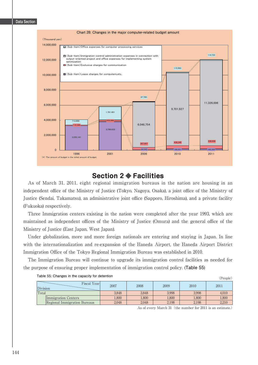

## **Section 2 ◆ Facilities**

 As of March 31, 2011, eight regional immigration bureaus in the nation are housing in an independent office of the Ministry of Justice (Tokyo, Nagoya, Osaka), a joint office of the Ministry of Justice (Sendai, Takamatsu), an administrative joint office (Sapporo, Hiroshima), and a private facility (Fukuoka) respectively.

 Three Immigration centers existing in the nation were completed after the year 1993, which are maintained as independent offices of the Ministry of Justice (Omura) and the general office of the Ministry of Justice (East Japan, West Japan).

 Under globalization, more and more foreign nationals are entering and staying in Japan. In line with the internationalization and re-expansion of the Haneda Airport, the Haneda Airport District Immigration Office of the Tokyo Regional Immigration Bureau was established in 2010.

 The Immigration Bureau will continue to upgrade its immigration control facilities as needed for the purpose of ensuring proper implementation of immigration control policy. (**Table 55**)

| rapid oo: Onangoo in the capacity for determent<br>People) |                              |       |       |       |       |       |
|------------------------------------------------------------|------------------------------|-------|-------|-------|-------|-------|
| Division                                                   | Fiscal Year                  | 2007  | 2008  | 2009  | 2010  | 2011  |
| Total                                                      |                              | 3,848 | 3,848 | 3.998 | 3.998 | 4,010 |
|                                                            | Immigration Centers          | 1,800 | 1,800 | 1,800 | 1,800 | 1,800 |
|                                                            | Regional Immigration Bureaus | 2,048 | 2,048 | 2,198 | 2,198 | 2,210 |

**Table 55: Changes in the capacity for detention**

As of every March 31 (the number for 2011 is an estimate.)